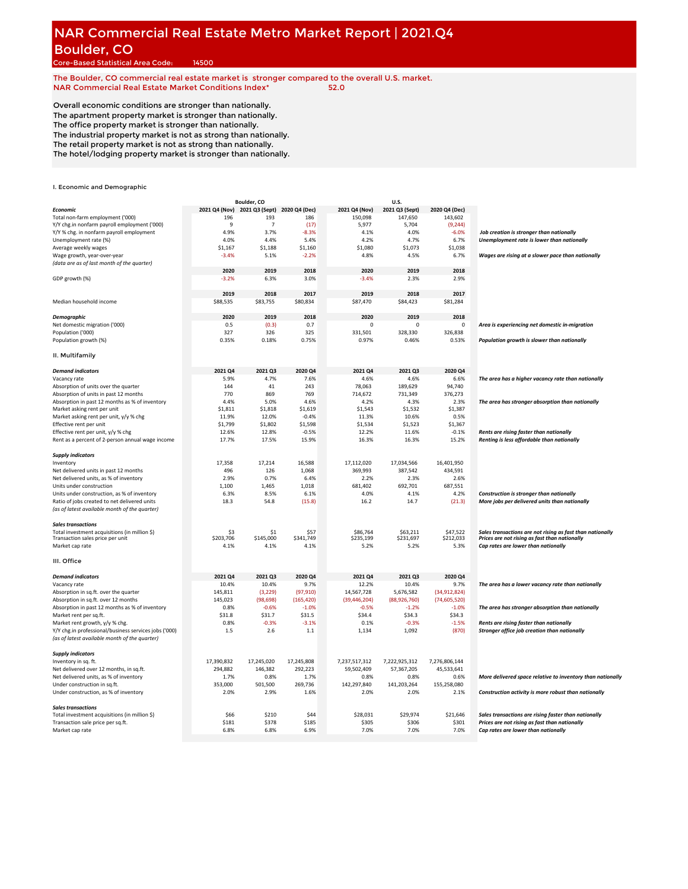# **NAR Commercial Real Estate Metro Market Report | 2021.Q4** Boulder, CO

Core-Based Statistical Area Code: 14500

**The Boulder, CO commercial real estate market is stronger compared to the overall U.S. market. NAR Commercial Real Estate Market Conditions Index\* 52.0**

Overall economic conditions are stronger than nationally. The apartment property market is stronger than nationally. The office property market is stronger than nationally. The industrial property market is not as strong than nationally. The retail property market is not as strong than nationally.

The hotel/lodging property market is stronger than nationally.

|                                                                       |               | Boulder, CO                  |            |                     | U.S.                |                |                                                            |
|-----------------------------------------------------------------------|---------------|------------------------------|------------|---------------------|---------------------|----------------|------------------------------------------------------------|
| Economic                                                              | 2021 Q4 (Nov) | 2021 Q3 (Sept) 2020 Q4 (Dec) |            | 2021 Q4 (Nov)       | 2021 Q3 (Sept)      | 2020 Q4 (Dec)  |                                                            |
| Total non-farm employment ('000)                                      | 196           | 193                          | 186        | 150,098             | 147,650             | 143,602        |                                                            |
| Y/Y chg.in nonfarm payroll employment ('000)                          | 9             | $\overline{7}$               | (17)       | 5,977               | 5,704               | (9, 244)       |                                                            |
| Y/Y % chg. in nonfarm payroll employment                              | 4.9%          | 3.7%                         | $-8.3%$    | 4.1%                | 4.0%                | $-6.0%$        | Job creation is stronger than nationally                   |
|                                                                       |               |                              |            |                     |                     |                |                                                            |
| Unemployment rate (%)                                                 | 4.0%          | 4.4%                         | 5.4%       | 4.2%                | 4.7%                | 6.7%           | Unemployment rate is lower than nationally                 |
| Average weekly wages                                                  | \$1,167       | \$1,188                      | \$1,160    | \$1,080             | \$1,073             | \$1,038        |                                                            |
| Wage growth, year-over-year                                           | $-3.4%$       | 5.1%                         | $-2.2%$    | 4.8%                | 4.5%                | 6.7%           | Wages are rising at a slower pace than nationally          |
| (data are as of last month of the quarter)                            |               |                              |            |                     |                     |                |                                                            |
|                                                                       | 2020          | 2019                         | 2018       | 2020                | 2019                | 2018           |                                                            |
| GDP growth (%)                                                        | $-3.2%$       | 6.3%                         | 3.0%       | $-3.4%$             | 2.3%                | 2.9%           |                                                            |
|                                                                       |               |                              |            |                     |                     |                |                                                            |
|                                                                       | 2019          | 2018                         | 2017       | 2019                | 2018                | 2017           |                                                            |
| Median household income                                               | \$88,535      | \$83,755                     | \$80,834   | \$87,470            | \$84,423            | \$81,284       |                                                            |
|                                                                       |               |                              |            |                     |                     |                |                                                            |
| <b>Demographic</b>                                                    | 2020          | 2019                         | 2018       | 2020                | 2019                | 2018           |                                                            |
|                                                                       |               |                              | 0.7        | $\Omega$            | $\Omega$            | $\Omega$       |                                                            |
| Net domestic migration ('000)                                         | 0.5           | (0.3)                        |            |                     |                     |                | Area is experiencing net domestic in-migration             |
| Population ('000)                                                     | 327           | 326                          | 325        | 331,501             | 328,330             | 326,838        |                                                            |
| Population growth (%)                                                 | 0.35%         | 0.18%                        | 0.75%      | 0.97%               | 0.46%               | 0.53%          | Population growth is slower than nationally                |
| II. Multifamily                                                       |               |                              |            |                     |                     |                |                                                            |
| <b>Demand indicators</b>                                              | 2021 04       | 2021 Q3                      | 2020 Q4    | 2021 04             | 2021 03             | 2020 Q4        |                                                            |
| Vacancy rate                                                          | 5.9%          | 4.7%                         | 7.6%       | 4.6%                | 4.6%                | 6.6%           | The area has a higher vacancy rate than nationally         |
| Absorption of units over the quarter                                  | 144           | 41                           | 243        | 78,063              | 189,629             | 94,740         |                                                            |
| Absorption of units in past 12 months                                 | 770           | 869                          | 769        | 714.672             | 731,349             | 376,273        |                                                            |
|                                                                       |               |                              |            |                     |                     |                |                                                            |
| Absorption in past 12 months as % of inventory                        | 4.4%          | 5.0%                         | 4.6%       | 4.2%                | 4.3%                | 2.3%           | The area has stronger absorption than nationally           |
| Market asking rent per unit                                           | \$1,811       | \$1,818                      | \$1,619    | \$1,543             | \$1,532             | \$1,387        |                                                            |
| Market asking rent per unit, y/y % chg                                | 11.9%         | 12.0%                        | $-0.4%$    | 11.3%               | 10.6%               | 0.5%           |                                                            |
| Effective rent per unit                                               | \$1,799       | \$1,802                      | \$1,598    | \$1,534             | \$1,523             | \$1,367        |                                                            |
| Effective rent per unit, y/y % chg                                    | 12.6%         | 12.8%                        | $-0.5%$    | 12.2%               | 11.6%               | $-0.1%$        | Rents are rising faster than nationally                    |
| Rent as a percent of 2-person annual wage income                      | 17.7%         | 17.5%                        | 15.9%      | 16.3%               | 16.3%               | 15.2%          | Renting is less affordable than nationally                 |
| <b>Supply indicators</b>                                              |               |                              |            |                     |                     |                |                                                            |
| Inventory                                                             | 17,358        | 17,214                       | 16,588     | 17,112,020          | 17,034,566          | 16,401,950     |                                                            |
| Net delivered units in past 12 months                                 | 496           | 126                          | 1,068      | 369,993             | 387,542             | 434,591        |                                                            |
| Net delivered units, as % of inventory                                | 2.9%          | 0.7%                         | 6.4%       | 2.2%                | 2.3%                | 2.6%           |                                                            |
|                                                                       |               |                              |            |                     |                     |                |                                                            |
| Units under construction                                              | 1,100         | 1,465                        | 1,018      | 681,402             | 692,701             | 687,551        |                                                            |
| Units under construction, as % of inventory                           | 6.3%          | 8.5%                         | 6.1%       | 4.0%                | 4.1%                | 4.2%           | Construction is stronger than nationally                   |
| Ratio of jobs created to net delivered units                          | 18.3          | 54.8                         | (15.8)     | 16.2                | 14.7                | (21.3)         | More jobs per delivered units than nationally              |
| (as of latest available month of the quarter)                         |               |                              |            |                     |                     |                |                                                            |
| <b>Sales transactions</b>                                             |               |                              |            |                     |                     |                |                                                            |
| Total investment acquisitions (in million \$)                         | \$3           | \$1                          | \$57       | \$86,764            | \$63,211            | \$47,522       | Sales transactions are not rising as fast than nationally  |
| Transaction sales price per unit                                      | \$203,706     | \$145,000                    | \$341.749  | \$235,199           | \$231,697           | \$212,033      | Prices are not rising as fast than nationally              |
| Market cap rate                                                       | 4.1%          | 4.1%                         | 4.1%       | 5.2%                | 5.2%                | 5.3%           | Cap rates are lower than nationally                        |
|                                                                       |               |                              |            |                     |                     |                |                                                            |
| III. Office                                                           |               |                              |            |                     |                     |                |                                                            |
| <b>Demand indicators</b>                                              | 2021 Q4       | 2021 Q3                      | 2020 Q4    | 2021 Q4             | 2021 Q3             | 2020 Q4        |                                                            |
| Vacancy rate                                                          | 10.4%         | 10.4%                        | 9.7%       | 12.2%               | 10.4%               | 9.7%           | The area has a lower vacancy rate than nationally          |
| Absorption in sq.ft. over the quarter                                 | 145,811       | (3, 229)                     | (97, 910)  | 14,567,728          | 5,676,582           | (34,912,824)   |                                                            |
| Absorption in sq.ft. over 12 months                                   | 145,023       | (98, 698)                    | (165, 420) | (39, 446, 204)      | (88,926,760)        | (74, 605, 520) |                                                            |
| Absorption in past 12 months as % of inventory                        | 0.8%          | $-0.6%$                      | $-1.0%$    | $-0.5%$             | $-1.2%$             | $-1.0%$        | The area has stronger absorption than nationally           |
| Market rent per sq.ft.                                                | \$31.8        | \$31.7                       | \$31.5     | \$34.4              | \$34.3              | \$34.3         |                                                            |
| Market rent growth, y/y % chg.                                        | 0.8%          | $-0.3%$                      | $-3.1%$    | 0.1%                | $-0.3%$             | $-1.5%$        | Rents are rising faster than nationally                    |
| Y/Y chg.in professional/business services jobs ('000)                 | 1.5           | 2.6                          | 1.1        | 1,134               | 1,092               | (870)          | Stronger office job creation than nationally               |
| (as of latest available month of the quarter)                         |               |                              |            |                     |                     |                |                                                            |
| <b>Supply indicators</b>                                              |               |                              |            |                     |                     |                |                                                            |
| Inventory in sq. ft.                                                  | 17,390,832    | 17,245,020                   | 17,245,808 | 7,237,517,312       | 7,222,925,312       | 7,276,806,144  |                                                            |
| Net delivered over 12 months, in sq.ft.                               | 294,882       | 146,382                      | 292,223    | 59,502,409          | 57,367,205          | 45,533,641     |                                                            |
| Net delivered units, as % of inventory                                | 1.7%          | 0.8%                         | 1.7%       | 0.8%                | 0.8%                | 0.6%           | More delivered space relative to inventory than nationally |
|                                                                       | 353.000       | 501,500                      | 269,736    |                     |                     | 155,258,080    |                                                            |
| Under construction in sq.ft.<br>Under construction, as % of inventory | 2.0%          |                              | 1.6%       | 142,297,840<br>2.0% | 141,203,264<br>2.0% | 2.1%           | Construction activity is more robust than nationally       |
|                                                                       |               | 2.9%                         |            |                     |                     |                |                                                            |
| <b>Sales transactions</b>                                             |               |                              |            |                     |                     |                |                                                            |
| Total investment acquisitions (in million \$)                         | \$66          | \$210                        | \$44       | \$28,031            | \$29,974            | \$21,646       | Sales transactions are rising faster than nationally       |
| Transaction sale price per sq.ft.                                     | \$181         | \$378                        | \$185      | \$305               | \$306               | \$301          | Prices are not rising as fast than nationally              |
| Market cap rate                                                       | 6.8%          | 6.8%                         | 6.9%       | 7.0%                | 7.0%                | 7.0%           | Cap rates are lower than nationally                        |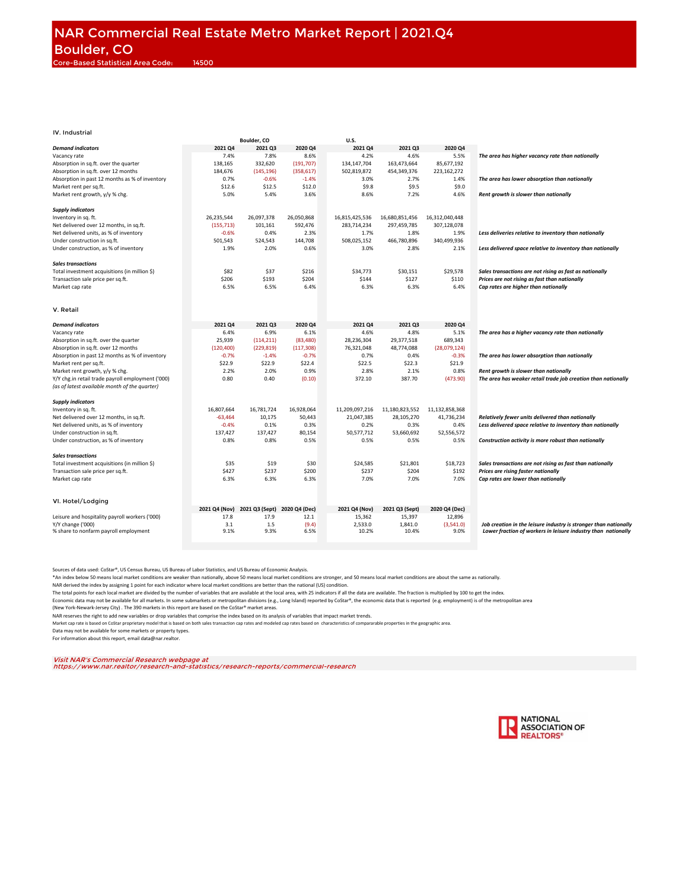|                                                   |               | Boulder, CO    |               | U.S.           |                |                |                                                                  |
|---------------------------------------------------|---------------|----------------|---------------|----------------|----------------|----------------|------------------------------------------------------------------|
| <b>Demand indicators</b>                          | 2021 Q4       | 2021 Q3        | 2020 Q4       | 2021 Q4        | 2021 03        | 2020 Q4        |                                                                  |
| Vacancy rate                                      | 7.4%          | 7.8%           | 8.6%          | 4.2%           | 4.6%           | 5.5%           | The area has higher vacancy rate than nationally                 |
| Absorption in sq.ft. over the quarter             | 138,165       | 332,620        | (191, 707)    | 134,147,704    | 163,473,664    | 85,677,192     |                                                                  |
|                                                   |               |                |               |                |                |                |                                                                  |
| Absorption in sq.ft. over 12 months               | 184,676       | (145, 196)     | (358, 617)    | 502,819,872    | 454,349,376    | 223,162,272    |                                                                  |
| Absorption in past 12 months as % of inventory    | 0.7%          | $-0.6%$        | $-1.4%$       | 3.0%           | 2.7%           | 1.4%           | The area has lower absorption than nationally                    |
| Market rent per sq.ft.                            | \$12.6        | \$12.5         | \$12.0        | \$9.8          | \$9.5          | \$9.0          |                                                                  |
| Market rent growth, y/y % chg.                    | 5.0%          | 5.4%           | 3.6%          | 8.6%           | 7.2%           | 4.6%           | Rent growth is slower than nationally                            |
|                                                   |               |                |               |                |                |                |                                                                  |
| <b>Supply indicators</b>                          |               |                |               |                |                |                |                                                                  |
|                                                   | 26,235,544    | 26,097,378     | 26,050,868    | 16,815,425,536 |                |                |                                                                  |
| Inventory in sq. ft.                              |               |                |               |                | 16,680,851,456 | 16,312,040,448 |                                                                  |
| Net delivered over 12 months, in sq.ft.           | (155, 713)    | 101,161        | 592,476       | 283,714,234    | 297,459,785    | 307,128,078    |                                                                  |
| Net delivered units, as % of inventory            | $-0.6%$       | 0.4%           | 2.3%          | 1.7%           | 1.8%           | 1.9%           | Less deliveries relative to inventory than nationally            |
| Under construction in sq.ft.                      | 501,543       | 524,543        | 144,708       | 508,025,152    | 466,780,896    | 340,499,936    |                                                                  |
| Under construction, as % of inventory             | 1.9%          | 2.0%           | 0.6%          | 3.0%           | 2.8%           | 2.1%           | Less delivered space relative to inventory than nationally       |
|                                                   |               |                |               |                |                |                |                                                                  |
| <b>Sales transactions</b>                         |               |                |               |                |                |                |                                                                  |
| Total investment acquisitions (in million \$)     | \$82          | \$37           | \$216         | \$34,773       | \$30,151       | \$29,578       | Sales transactions are not rising as fast as nationally          |
|                                                   |               |                |               |                |                |                |                                                                  |
| Transaction sale price per sq.ft.                 | \$206         | \$193          | \$204         | \$144          | \$127          | \$110          | Prices are not rising as fast than nationally                    |
| Market cap rate                                   | 6.5%          | 6.5%           | 6.4%          | 6.3%           | 6.3%           | 6.4%           | Cap rates are higher than nationally                             |
|                                                   |               |                |               |                |                |                |                                                                  |
|                                                   |               |                |               |                |                |                |                                                                  |
| V. Retail                                         |               |                |               |                |                |                |                                                                  |
|                                                   |               |                |               |                |                |                |                                                                  |
| <b>Demand indicators</b>                          | 2021 Q4       | 2021 Q3        | 2020 Q4       | 2021 Q4        | 2021 Q3        | 2020 Q4        |                                                                  |
|                                                   |               |                |               |                | 4.8%           |                |                                                                  |
| Vacancy rate                                      | 6.4%          | 6.9%           | 6.1%          | 4.6%           |                | 5.1%           | The area has a higher vacancy rate than nationally               |
| Absorption in sq.ft. over the quarter             | 25,939        | (114, 211)     | (83, 480)     | 28,236,304     | 29,377,518     | 689,343        |                                                                  |
| Absorption in sq.ft. over 12 months               | (120, 400)    | (229, 819)     | (117, 308)    | 76,321,048     | 48,774,088     | (28,079,124)   |                                                                  |
| Absorption in past 12 months as % of inventory    | $-0.7%$       | $-1.4%$        | $-0.7%$       | 0.7%           | 0.4%           | $-0.3%$        | The area has lower absorption than nationally                    |
| Market rent per sq.ft.                            | \$22.9        | \$22.9         | \$22.4        | \$22.5         | \$22.3         | \$21.9         |                                                                  |
| Market rent growth, y/y % chg.                    | 2.2%          | 2.0%           | 0.9%          | 2.8%           | 2.1%           | 0.8%           | Rent growth is slower than nationally                            |
| Y/Y chg.in retail trade payroll employment ('000) | 0.80          | 0.40           | (0.10)        | 372.10         | 387.70         | (473.90)       | The area has weaker retail trade job creation than nationally    |
|                                                   |               |                |               |                |                |                |                                                                  |
| (as of latest available month of the quarter)     |               |                |               |                |                |                |                                                                  |
|                                                   |               |                |               |                |                |                |                                                                  |
| <b>Supply indicators</b>                          |               |                |               |                |                |                |                                                                  |
| Inventory in sq. ft.                              | 16,807,664    | 16,781,724     | 16,928,064    | 11,209,097,216 | 11,180,823,552 | 11,132,858,368 |                                                                  |
| Net delivered over 12 months, in sq.ft.           | $-63,464$     | 10,175         | 50,443        | 21,047,385     | 28,105,270     | 41,736,234     | Relatively fewer units delivered than nationally                 |
| Net delivered units, as % of inventory            | $-0.4%$       | 0.1%           | 0.3%          | 0.2%           | 0.3%           | 0.4%           | Less delivered space relative to inventory than nationally       |
| Under construction in sq.ft.                      | 137,427       | 137,427        | 80,154        | 50,577,712     | 53,660,692     | 52,556,572     |                                                                  |
|                                                   | 0.8%          | 0.8%           | 0.5%          | 0.5%           | 0.5%           | 0.5%           |                                                                  |
| Under construction, as % of inventory             |               |                |               |                |                |                | Construction activity is more robust than nationally             |
|                                                   |               |                |               |                |                |                |                                                                  |
| <b>Sales transactions</b>                         |               |                |               |                |                |                |                                                                  |
| Total investment acquisitions (in million \$)     | \$35          | \$19           | \$30          | \$24,585       | \$21,801       | \$18,723       | Sales transactions are not rising as fast than nationally        |
| Transaction sale price per sq.ft.                 | \$427         | \$237          | \$200         | \$237          | \$204          | \$192          | Prices are rising faster nationally                              |
| Market cap rate                                   | 6.3%          | 6.3%           | 6.3%          | 7.0%           | 7.0%           | 7.0%           | Cap rates are lower than nationally                              |
|                                                   |               |                |               |                |                |                |                                                                  |
|                                                   |               |                |               |                |                |                |                                                                  |
|                                                   |               |                |               |                |                |                |                                                                  |
| VI. Hotel/Lodging                                 |               |                |               |                |                |                |                                                                  |
|                                                   | 2021 Q4 (Nov) | 2021 Q3 (Sept) | 2020 Q4 (Dec) | 2021 Q4 (Nov)  | 2021 Q3 (Sept) | 2020 Q4 (Dec)  |                                                                  |
| Leisure and hospitality payroll workers ('000)    | 17.8          | 17.9           | 12.1          | 15,362         | 15,397         | 12,896         |                                                                  |
| Y/Y change ('000)                                 | 3.1           | 1.5            | (9.4)         | 2,533.0        | 1,841.0        | (3,541.0)      | Job creation in the leisure industry is stronger than nationally |
| % share to nonfarm payroll employment             | 9.1%          | 9.3%           | 6.5%          | 10.2%          | 10.4%          | 9.0%           | Lower fraction of workers in leisure industry than nationally    |
|                                                   |               |                |               |                |                |                |                                                                  |
|                                                   |               |                |               |                |                |                |                                                                  |

Sources of data used: CoStar®, US Census Bureau, US Bureau of Labor Statistics, and US Bureau of Economic Analysis.

\*An index below 50 means local market conditions are weaker than nationally, above 50 means local market and stomger, and 50 means local market conditions are about the same as nationally.<br>NAR derived the index by assignin

The total points for each local market are divided by the number of variables that are available at the local area, with 25 indicators if all the data are available. The fraction is multiplied by 100 to get the index.

Economic data may not be available for all markets. In some submarkets or metropolitan divisions (e.g., Long Island) reported by CoStar®, the economic data that is reported (e.g. employment) is of the metropolitan area

(New York-Newark-Jersey City) . The 390 markets in this report are based on the CoStar® market areas.

NAR reserves the right to add new variables or drop variables that comprise the index based on its analysis of variables that impact market trends.

Market cap rate is based on CoStar proprietary model that is based on both sales transaction cap rates and modeled cap rates based on characteristics of compararable properties in the geographic area. Data may not be available for some markets or property types.

For information about this report, email data@nar.realtor.

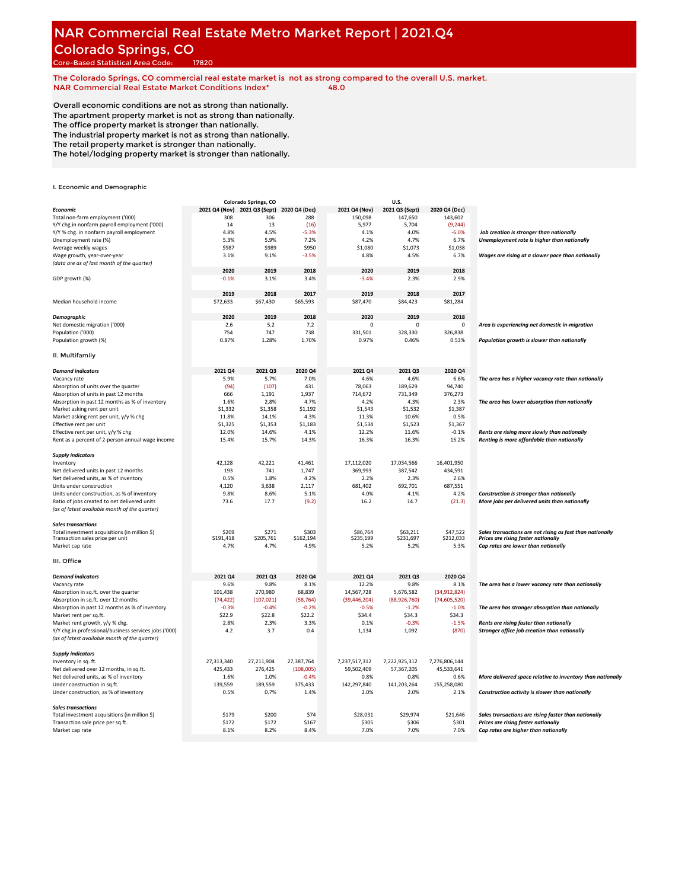# **NAR Commercial Real Estate Metro Market Report | 2021.Q4** Colorado Springs, CO

Core-Based Statistical Area Code: 17820

**The Colorado Springs, CO commercial real estate market is not as strong compared to the overall U.S. market. NAR Commercial Real Estate Market Conditions Index\* 48.0**

Overall economic conditions are not as strong than nationally. The apartment property market is not as strong than nationally. The office property market is stronger than nationally. The industrial property market is not as strong than nationally. The retail property market is stronger than nationally.

The hotel/lodging property market is stronger than nationally.

|                                                       |               | Colorado Springs, CO         |            |                | U.S.           |                |                                                            |
|-------------------------------------------------------|---------------|------------------------------|------------|----------------|----------------|----------------|------------------------------------------------------------|
| <b>Economic</b>                                       | 2021 Q4 (Nov) | 2021 Q3 (Sept) 2020 Q4 (Dec) |            | 2021 Q4 (Nov)  | 2021 Q3 (Sept) | 2020 Q4 (Dec)  |                                                            |
| Total non-farm employment ('000)                      | 308           | 306                          | 288        | 150,098        | 147,650        | 143,602        |                                                            |
| Y/Y chg.in nonfarm payroll employment ('000)          | 14            | 13                           | (16)       | 5,977          | 5,704          | (9, 244)       |                                                            |
| Y/Y % chg. in nonfarm payroll employment              | 4.8%          | 4.5%                         | $-5.3%$    | 4.1%           | 4.0%           | $-6.0%$        | Job creation is stronger than nationally                   |
|                                                       |               |                              |            |                |                |                |                                                            |
| Unemployment rate (%)                                 | 5.3%          | 5.9%                         | 7.2%       | 4.2%           | 4.7%           | 6.7%           | Unemployment rate is higher than nationally                |
| Average weekly wages                                  | \$987         | \$989                        | \$950      | \$1,080        | \$1,073        | \$1,038        |                                                            |
| Wage growth, year-over-year                           | 3.1%          | 9.1%                         | $-3.5%$    | 4.8%           | 4.5%           | 6.7%           | Wages are rising at a slower pace than nationally          |
| (data are as of last month of the quarter)            |               |                              |            |                |                |                |                                                            |
|                                                       | 2020          | 2019                         | 2018       | 2020           | 2019           | 2018           |                                                            |
| GDP growth (%)                                        | $-0.1%$       | 3.1%                         | 3.4%       | $-3.4%$        | 2.3%           | 2.9%           |                                                            |
|                                                       |               |                              |            |                |                |                |                                                            |
|                                                       | 2019          | 2018                         | 2017       | 2019           | 2018           | 2017           |                                                            |
| Median household income                               | \$72,633      | \$67,430                     | \$65,593   | \$87,470       | \$84,423       | \$81,284       |                                                            |
|                                                       |               |                              |            |                |                |                |                                                            |
| <b>Demographic</b>                                    | 2020          | 2019                         | 2018       | 2020           | 2019           | 2018           |                                                            |
| Net domestic migration ('000)                         | 2.6           | 5.2                          | 7.2        | $\Omega$       | $\Omega$       | $\mathbf 0$    | Area is experiencing net domestic in-migration             |
|                                                       |               |                              |            |                |                |                |                                                            |
| Population ('000)                                     | 754           | 747                          | 738        | 331,501        | 328,330        | 326,838        |                                                            |
| Population growth (%)                                 | 0.87%         | 1.28%                        | 1.70%      | 0.97%          | 0.46%          | 0.53%          | Population growth is slower than nationally                |
|                                                       |               |                              |            |                |                |                |                                                            |
| II. Multifamily                                       |               |                              |            |                |                |                |                                                            |
| <b>Demand indicators</b>                              | 2021 04       | 2021 Q3                      | 2020 Q4    | 2021 04        | 2021 03        | 2020 Q4        |                                                            |
|                                                       |               |                              |            |                |                |                |                                                            |
| Vacancy rate                                          | 5.9%          | 5.7%                         | 7.0%       | 4.6%           | 4.6%           | 6.6%           | The area has a higher vacancy rate than nationally         |
| Absorption of units over the quarter                  | (94)          | (107)                        | 431        | 78,063         | 189,629        | 94,740         |                                                            |
| Absorption of units in past 12 months                 | 666           | 1,191                        | 1,937      | 714,672        | 731.349        | 376.273        |                                                            |
| Absorption in past 12 months as % of inventory        | 1.6%          | 2.8%                         | 4.7%       | 4.2%           | 4.3%           | 2.3%           | The area has lower absorption than nationally              |
| Market asking rent per unit                           | \$1,332       | \$1,358                      | \$1,192    | \$1,543        | \$1,532        | \$1,387        |                                                            |
| Market asking rent per unit, y/y % chg                | 11.8%         | 14.1%                        | 4.3%       | 11.3%          | 10.6%          | 0.5%           |                                                            |
| Effective rent per unit                               | \$1,325       | \$1,353                      | \$1,183    | \$1,534        | \$1,523        | \$1,367        |                                                            |
| Effective rent per unit, y/y % chg                    | 12.0%         | 14.6%                        | 4.1%       | 12.2%          | 11.6%          | $-0.1%$        | Rents are rising more slowly than nationally               |
| Rent as a percent of 2-person annual wage income      | 15.4%         | 15.7%                        | 14.3%      | 16.3%          | 16.3%          | 15.2%          | Renting is more affordable than nationally                 |
|                                                       |               |                              |            |                |                |                |                                                            |
| <b>Supply indicators</b>                              |               |                              |            |                |                |                |                                                            |
| Inventory                                             | 42,128        | 42,221                       | 41,461     | 17,112,020     | 17,034,566     | 16,401,950     |                                                            |
| Net delivered units in past 12 months                 | 193           | 741                          | 1,747      | 369,993        | 387,542        | 434,591        |                                                            |
| Net delivered units, as % of inventory                | 0.5%          | 1.8%                         | 4.2%       | 2.2%           | 2.3%           | 2.6%           |                                                            |
|                                                       |               |                              |            |                |                |                |                                                            |
| Units under construction                              | 4,120         | 3,638                        | 2,117      | 681,402        | 692,701        | 687,551        |                                                            |
| Units under construction, as % of inventory           | 9.8%          | 8.6%                         | 5.1%       | 4.0%           | 4.1%           | 4.2%           | Construction is stronger than nationally                   |
| Ratio of jobs created to net delivered units          | 73.6          | 17.7                         | (9.2)      | 16.2           | 14.7           | (21.3)         | More jobs per delivered units than nationally              |
| (as of latest available month of the quarter)         |               |                              |            |                |                |                |                                                            |
|                                                       |               |                              |            |                |                |                |                                                            |
| <b>Sales transactions</b>                             |               |                              |            |                |                |                |                                                            |
| Total investment acquisitions (in million \$)         | \$209         | \$271                        | \$303      | \$86,764       | \$63,211       | \$47,522       | Sales transactions are not rising as fast than nationally  |
| Transaction sales price per unit                      | \$191,418     | \$205,761                    | \$162,194  | \$235,199      | \$231,697      | \$212,033      | Prices are rising faster nationally                        |
| Market cap rate                                       | 4.7%          | 4.7%                         | 4.9%       | 5.2%           | 5.2%           | 5.3%           | Cap rates are lower than nationally                        |
|                                                       |               |                              |            |                |                |                |                                                            |
| III. Office                                           |               |                              |            |                |                |                |                                                            |
| <b>Demand indicators</b>                              | 2021 Q4       | 2021 Q3                      | 2020 Q4    | 2021 Q4        | 2021 Q3        | 2020 Q4        |                                                            |
| Vacancy rate                                          | 9.6%          | 9.8%                         | 8.1%       | 12.2%          | 9.8%           | 8.1%           | The area has a lower vacancy rate than nationally          |
|                                                       |               |                              |            |                |                |                |                                                            |
| Absorption in sq.ft. over the quarter                 | 101,438       | 270,980                      | 68,839     | 14,567,728     | 5,676,582      | (34,912,824)   |                                                            |
| Absorption in sq.ft. over 12 months                   | (74, 422)     | (107, 021)                   | (58, 764)  | (39, 446, 204) | (88,926,760)   | (74, 605, 520) |                                                            |
| Absorption in past 12 months as % of inventory        | $-0.3%$       | $-0.4%$                      | $-0.2%$    | $-0.5%$        | $-1.2%$        | $-1.0%$        | The area has stronger absorption than nationally           |
| Market rent per sq.ft.                                | \$22.9        | \$22.8                       | \$22.2     | \$34.4         | \$34.3         | \$34.3         |                                                            |
| Market rent growth, y/y % chg.                        | 2.8%          | 2.3%                         | 3.3%       | 0.1%           | $-0.3%$        | $-1.5%$        | Rents are rising faster than nationally                    |
| Y/Y chg.in professional/business services jobs ('000) | 4.2           | 3.7                          | 0.4        | 1,134          | 1,092          | (870)          | Stronger office job creation than nationally               |
| (as of latest available month of the quarter)         |               |                              |            |                |                |                |                                                            |
|                                                       |               |                              |            |                |                |                |                                                            |
| <b>Supply indicators</b>                              |               |                              |            |                |                |                |                                                            |
| Inventory in sq. ft.                                  | 27,313,340    | 27,211,904                   | 27.387.764 | 7,237,517,312  | 7,222,925,312  | 7.276.806.144  |                                                            |
| Net delivered over 12 months, in sq.ft.               | 425,433       | 276,425                      | (108,005)  | 59,502,409     | 57,367,205     | 45,533,641     |                                                            |
| Net delivered units, as % of inventory                | 1.6%          | 1.0%                         | $-0.4%$    | 0.8%           | 0.8%           | 0.6%           | More delivered space relative to inventory than nationally |
| Under construction in sq.ft.                          | 139.559       | 189,559                      | 375,433    | 142,297,840    | 141,203,264    | 155,258,080    |                                                            |
| Under construction, as % of inventory                 | 0.5%          | 0.7%                         | 1.4%       | 2.0%           | 2.0%           | 2.1%           | Construction activity is slower than nationally            |
|                                                       |               |                              |            |                |                |                |                                                            |
| <b>Sales transactions</b>                             |               |                              |            |                |                |                |                                                            |
| Total investment acquisitions (in million \$)         | \$179         | \$200                        | \$74       | \$28,031       | \$29,974       | \$21,646       | Sales transactions are rising faster than nationally       |
| Transaction sale price per sq.ft.                     | \$172         | \$172                        | \$167      | \$305          | \$306          | \$301          | Prices are rising faster nationally                        |
| Market cap rate                                       | 8.1%          | 8.2%                         | 8.4%       | 7.0%           | 7.0%           | 7.0%           | Cap rates are higher than nationally                       |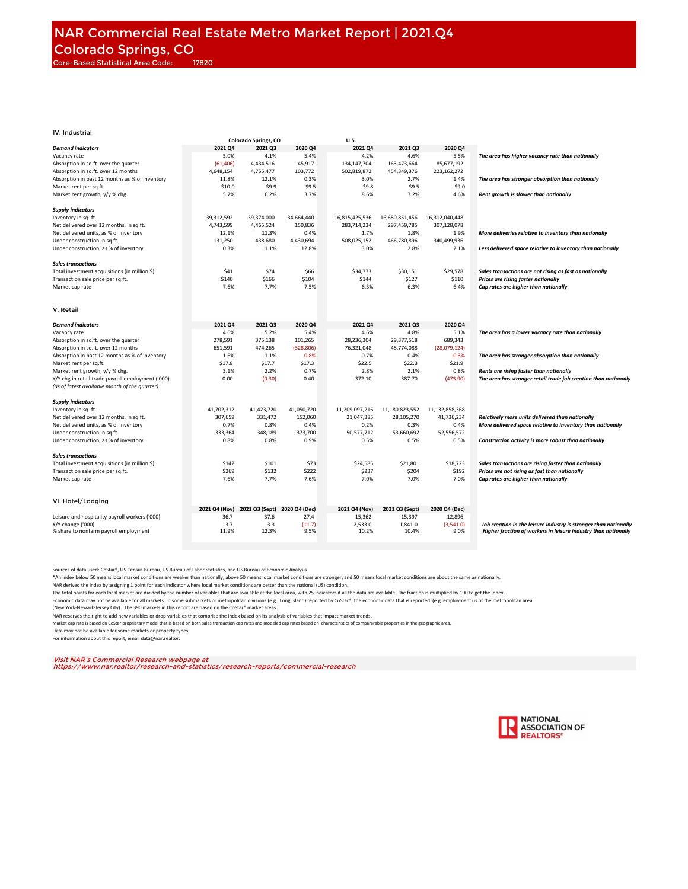|                                                                                                    |               | Colorado Springs, CO |                | U.S.             |                  |                   |                                                                                                                                    |
|----------------------------------------------------------------------------------------------------|---------------|----------------------|----------------|------------------|------------------|-------------------|------------------------------------------------------------------------------------------------------------------------------------|
| <b>Demand indicators</b>                                                                           | 2021 Q4       | 2021 Q3              | 2020 Q4        | 2021 Q4          | 2021 Q3          | 2020 Q4           |                                                                                                                                    |
| Vacancy rate                                                                                       | 5.0%          | 4.1%                 | 5.4%           | 4.2%             | 4.6%             | 5.5%              | The area has higher vacancy rate than nationally                                                                                   |
| Absorption in sq.ft. over the quarter                                                              | (61, 406)     | 4,434,516            | 45,917         | 134,147,704      | 163,473,664      | 85,677,192        |                                                                                                                                    |
|                                                                                                    |               |                      |                |                  |                  |                   |                                                                                                                                    |
| Absorption in sq.ft. over 12 months                                                                | 4,648,154     | 4,755,477            | 103,772        | 502,819,872      | 454,349,376      | 223,162,272       |                                                                                                                                    |
| Absorption in past 12 months as % of inventory                                                     | 11.8%         | 12.1%                | 0.3%           | 3.0%             | 2.7%             | 1.4%              | The area has stronger absorption than nationally                                                                                   |
| Market rent per sq.ft.                                                                             | \$10.0        | \$9.9                | \$9.5          | \$9.8            | \$9.5            | \$9.0             |                                                                                                                                    |
| Market rent growth, y/y % chg.                                                                     | 5.7%          | 6.2%                 | 3.7%           | 8.6%             | 7.2%             | 4.6%              | Rent growth is slower than nationally                                                                                              |
| <b>Supply indicators</b>                                                                           |               |                      |                |                  |                  |                   |                                                                                                                                    |
| Inventory in sq. ft.                                                                               | 39,312,592    | 39,374,000           | 34,664,440     | 16,815,425,536   | 16,680,851,456   | 16,312,040,448    |                                                                                                                                    |
| Net delivered over 12 months, in sq.ft.                                                            | 4,743,599     | 4,465,524            | 150,836        | 283,714,234      | 297,459,785      | 307,128,078       |                                                                                                                                    |
|                                                                                                    |               |                      |                |                  |                  |                   |                                                                                                                                    |
| Net delivered units, as % of inventory                                                             | 12.1%         | 11.3%                | 0.4%           | 1.7%             | 1.8%             | 1.9%              | More deliveries relative to inventory than nationally                                                                              |
| Under construction in sq.ft.                                                                       | 131,250       | 438,680              | 4,430,694      | 508,025,152      | 466,780,896      | 340,499,936       |                                                                                                                                    |
| Under construction, as % of inventory                                                              | 0.3%          | 1.1%                 | 12.8%          | 3.0%             | 2.8%             | 2.1%              | Less delivered space relative to inventory than nationally                                                                         |
| <b>Sales transactions</b>                                                                          |               |                      |                |                  |                  |                   |                                                                                                                                    |
| Total investment acquisitions (in million \$)                                                      | \$41          | \$74                 | \$66           | \$34,773         | \$30,151         | \$29,578          | Sales transactions are not rising as fast as nationally                                                                            |
| Transaction sale price per sq.ft.                                                                  | \$140         | \$166                | \$104          | \$144            | \$127            | \$110             | Prices are rising faster nationally                                                                                                |
| Market cap rate                                                                                    | 7.6%          | 7.7%                 | 7.5%           | 6.3%             | 6.3%             | 6.4%              | Cap rates are higher than nationally                                                                                               |
|                                                                                                    |               |                      |                |                  |                  |                   |                                                                                                                                    |
| V. Retail                                                                                          |               |                      |                |                  |                  |                   |                                                                                                                                    |
| <b>Demand indicators</b>                                                                           | 2021 Q4       | 2021 Q3              | 2020 Q4        | 2021 Q4          | 2021 Q3          | 2020 Q4           |                                                                                                                                    |
| Vacancy rate                                                                                       | 4.6%          | 5.2%                 | 5.4%           | 4.6%             | 4.8%             | 5.1%              | The area has a lower vacancy rate than nationally                                                                                  |
| Absorption in sq.ft. over the quarter                                                              | 278,591       | 375,138              | 101,265        | 28,236,304       | 29,377,518       | 689,343           |                                                                                                                                    |
| Absorption in sq.ft. over 12 months                                                                | 651,591       | 474,265              | (328, 806)     | 76,321,048       | 48,774,088       | (28,079,124)      |                                                                                                                                    |
|                                                                                                    |               |                      |                |                  |                  |                   |                                                                                                                                    |
| Absorption in past 12 months as % of inventory                                                     | 1.6%          | 1.1%                 | $-0.8%$        | 0.7%             | 0.4%             | $-0.3%$           | The area has stronger absorption than nationally                                                                                   |
| Market rent per sq.ft.                                                                             | \$17.8        | \$17.7               | \$17.3         | \$22.5           | \$22.3           | \$21.9            |                                                                                                                                    |
| Market rent growth, y/y % chg.                                                                     | 3.1%          | 2.2%                 | 0.7%           | 2.8%             | 2.1%             | 0.8%              | Rents are rising faster than nationally                                                                                            |
| Y/Y chg.in retail trade payroll employment ('000)<br>(as of latest available month of the quarter) | 0.00          | (0.30)               | 0.40           | 372.10           | 387.70           | (473.90)          | The area has stronger retail trade job creation than nationally                                                                    |
| <b>Supply indicators</b>                                                                           |               |                      |                |                  |                  |                   |                                                                                                                                    |
| Inventory in sq. ft.                                                                               | 41,702,312    | 41,423,720           | 41,050,720     | 11,209,097,216   | 11,180,823,552   | 11,132,858,368    |                                                                                                                                    |
| Net delivered over 12 months, in sq.ft.                                                            | 307,659       | 331,472              | 152,060        | 21,047,385       | 28,105,270       | 41,736,234        | Relatively more units delivered than nationally                                                                                    |
| Net delivered units, as % of inventory                                                             | 0.7%          | 0.8%                 | 0.4%           | 0.2%             | 0.3%             | 0.4%              | More delivered space relative to inventory than nationally                                                                         |
|                                                                                                    | 333,364       | 348,189              | 373,700        | 50,577,712       | 53,660,692       | 52,556,572        |                                                                                                                                    |
| Under construction in sq.ft.                                                                       |               |                      |                |                  |                  |                   |                                                                                                                                    |
| Under construction, as % of inventory                                                              | 0.8%          | 0.8%                 | 0.9%           | 0.5%             | 0.5%             | 0.5%              | Construction activity is more robust than nationally                                                                               |
| <b>Sales transactions</b>                                                                          |               |                      |                |                  |                  |                   |                                                                                                                                    |
| Total investment acquisitions (in million \$)                                                      | \$142         | \$101                | \$73           | \$24,585         | \$21,801         | \$18,723          | Sales transactions are rising faster than nationally                                                                               |
| Transaction sale price per sq.ft.                                                                  | \$269         | \$132                | \$222          | \$237            | \$204            | \$192             | Prices are not rising as fast than nationally                                                                                      |
| Market cap rate                                                                                    | 7.6%          | 7.7%                 | 7.6%           | 7.0%             | 7.0%             | 7.0%              | Cap rates are higher than nationally                                                                                               |
|                                                                                                    |               |                      |                |                  |                  |                   |                                                                                                                                    |
| VI. Hotel/Lodging                                                                                  | 2021 Q4 (Nov) | 2021 Q3 (Sept)       | 2020 Q4 (Dec)  | 2021 Q4 (Nov)    | 2021 Q3 (Sept)   | 2020 Q4 (Dec)     |                                                                                                                                    |
|                                                                                                    |               | 37.6                 |                |                  |                  |                   |                                                                                                                                    |
| Leisure and hospitality payroll workers ('000)                                                     | 36.7          |                      | 27.4           | 15,362           | 15,397           | 12,896            |                                                                                                                                    |
| Y/Y change ('000)<br>% share to nonfarm payroll employment                                         | 3.7<br>11.9%  | 3.3<br>12.3%         | (11.7)<br>9.5% | 2,533.0<br>10.2% | 1,841.0<br>10.4% | (3,541.0)<br>9.0% | Job creation in the leisure industry is stronger than nationally<br>Higher fraction of workers in leisure industry than nationally |
|                                                                                                    |               |                      |                |                  |                  |                   |                                                                                                                                    |
|                                                                                                    |               |                      |                |                  |                  |                   |                                                                                                                                    |

Sources of data used: CoStar®, US Census Bureau, US Bureau of Labor Statistics, and US Bureau of Economic Analysis.

\*An index below 50 means local market conditions are weaker than nationally, above 50 means local market and stomger, and 50 means local market conditions are about the same as nationally.<br>NAR derived the index by assignin

The total points for each local market are divided by the number of variables that are available at the local area, with 25 indicators if all the data are available. The fraction is multiplied by 100 to get the index.

Economic data may not be available for all markets. In some submarkets or metropolitan divisions (e.g., Long Island) reported by CoStar®, the economic data that is reported (e.g. employment) is of the metropolitan area

(New York-Newark-Jersey City) . The 390 markets in this report are based on the CoStar® market areas.

NAR reserves the right to add new variables or drop variables that comprise the index based on its analysis of variables that impact market trends.

Market cap rate is based on CoStar proprietary model that is based on both sales transaction cap rates and modeled cap rates based on characteristics of compararable properties in the geographic area.

Data may not be available for some markets or property types. For information about this report, email data@nar.realtor.

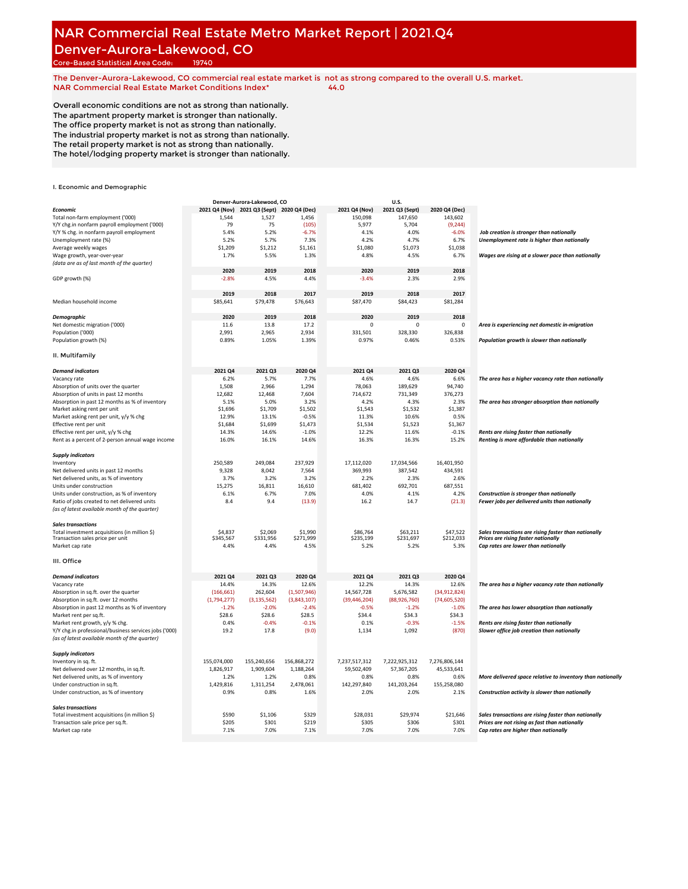#### **NAR Commercial Real Estate Metro Market Report | 2021.Q4** Denver-Aurora-Lakewood, CO

Core-Based Statistical Area Code: 19740

**The Denver-Aurora-Lakewood, CO commercial real estate market is not as strong compared to the overall U.S. market. NAR Commercial Real Estate Market Conditions Index\* 44.0**

Overall economic conditions are not as strong than nationally. The apartment property market is stronger than nationally. The office property market is not as strong than nationally. The industrial property market is not as strong than nationally. The retail property market is not as strong than nationally. The hotel/lodging property market is stronger than nationally.

|                                                       |             | Denver-Aurora-Lakewood, CO                 |             |                | U.S.           |                |                                                            |
|-------------------------------------------------------|-------------|--------------------------------------------|-------------|----------------|----------------|----------------|------------------------------------------------------------|
| <b>Economic</b>                                       |             | 2021 Q4 (Nov) 2021 Q3 (Sept) 2020 Q4 (Dec) |             | 2021 Q4 (Nov)  | 2021 Q3 (Sept) | 2020 Q4 (Dec)  |                                                            |
| Total non-farm employment ('000)                      | 1,544       | 1,527                                      | 1,456       | 150,098        | 147,650        | 143,602        |                                                            |
| Y/Y chg.in nonfarm payroll employment ('000)          | 79          | 75                                         | (105)       | 5,977          | 5,704          | (9, 244)       |                                                            |
| Y/Y % chg. in nonfarm payroll employment              | 5.4%        | 5.2%                                       | $-6.7%$     | 4.1%           | 4.0%           | $-6.0%$        | Job creation is stronger than nationally                   |
| Unemployment rate (%)                                 | 5.2%        | 5.7%                                       | 7.3%        | 4.2%           | 4.7%           | 6.7%           | Unemployment rate is higher than nationally                |
| Average weekly wages                                  | \$1,209     | \$1,212                                    | \$1,161     | \$1,080        | \$1,073        | \$1,038        |                                                            |
| Wage growth, year-over-year                           | 1.7%        | 5.5%                                       | 1.3%        | 4.8%           | 4.5%           | 6.7%           | Wages are rising at a slower pace than nationally          |
| (data are as of last month of the quarter)            |             |                                            |             |                |                |                |                                                            |
|                                                       | 2020        | 2019                                       | 2018        | 2020           | 2019           | 2018           |                                                            |
|                                                       |             |                                            |             |                |                |                |                                                            |
| GDP growth (%)                                        | $-2.8%$     | 4.5%                                       | 4.4%        | $-3.4%$        | 2.3%           | 2.9%           |                                                            |
|                                                       |             |                                            |             |                |                |                |                                                            |
|                                                       | 2019        | 2018                                       | 2017        | 2019           | 2018           | 2017           |                                                            |
| Median household income                               | \$85,641    | \$79,478                                   | \$76,643    | \$87,470       | \$84,423       | \$81,284       |                                                            |
|                                                       |             |                                            |             |                |                |                |                                                            |
| <b>Demographic</b>                                    | 2020        | 2019                                       | 2018        | 2020           | 2019           | 2018           |                                                            |
| Net domestic migration ('000)                         | 11.6        | 13.8                                       | 17.2        | $\mathbf 0$    | $\mathbf 0$    | 0              | Area is experiencing net domestic in-migration             |
| Population ('000)                                     | 2,991       | 2,965                                      | 2,934       | 331,501        | 328,330        | 326,838        |                                                            |
| Population growth (%)                                 | 0.89%       | 1.05%                                      | 1.39%       | 0.97%          | 0.46%          | 0.53%          | Population growth is slower than nationally                |
| II. Multifamily                                       |             |                                            |             |                |                |                |                                                            |
|                                                       |             |                                            |             |                |                |                |                                                            |
| <b>Demand indicators</b>                              | 2021 Q4     | 2021 Q3                                    | 2020 Q4     | 2021 Q4        | 2021 Q3        | 2020 Q4        |                                                            |
| Vacancy rate                                          | 6.2%        | 5.7%                                       | 7.7%        | 4.6%           | 4.6%           | 6.6%           | The area has a higher vacancy rate than nationally         |
| Absorption of units over the quarter                  | 1,508       | 2,966                                      | 1.294       | 78,063         | 189,629        | 94.740         |                                                            |
| Absorption of units in past 12 months                 | 12,682      | 12,468                                     | 7,604       | 714,672        | 731,349        | 376,273        |                                                            |
| Absorption in past 12 months as % of inventory        | 5.1%        | 5.0%                                       | 3.2%        | 4.2%           | 4.3%           | 2.3%           | The area has stronger absorption than nationally           |
| Market asking rent per unit                           | \$1,696     | \$1,709                                    | \$1,502     | \$1,543        | \$1,532        | \$1,387        |                                                            |
| Market asking rent per unit, y/y % chg                | 12.9%       | 13.1%                                      | $-0.5%$     | 11.3%          | 10.6%          | 0.5%           |                                                            |
| Effective rent per unit                               | \$1,684     | \$1,699                                    | \$1,473     | \$1,534        | \$1,523        | \$1,367        |                                                            |
| Effective rent per unit, y/y % chg                    | 14.3%       | 14.6%                                      | $-1.0%$     | 12.2%          | 11.6%          | $-0.1%$        | Rents are rising faster than nationally                    |
| Rent as a percent of 2-person annual wage income      | 16.0%       | 16.1%                                      | 14.6%       | 16.3%          | 16.3%          | 15.2%          | Renting is more affordable than nationally                 |
|                                                       |             |                                            |             |                |                |                |                                                            |
| <b>Supply indicators</b>                              |             |                                            |             |                |                |                |                                                            |
| Inventory                                             | 250,589     | 249,084                                    | 237,929     | 17,112,020     | 17,034,566     | 16,401,950     |                                                            |
| Net delivered units in past 12 months                 | 9,328       | 8,042                                      | 7,564       | 369,993        | 387,542        | 434,591        |                                                            |
| Net delivered units, as % of inventory                | 3.7%        | 3.2%                                       | 3.2%        | 2.2%           | 2.3%           | 2.6%           |                                                            |
| Units under construction                              | 15,275      | 16,811                                     | 16,610      | 681,402        | 692,701        | 687,551        |                                                            |
| Units under construction, as % of inventory           | 6.1%        | 6.7%                                       | 7.0%        | 4.0%           | 4.1%           | 4.2%           | <b>Construction is stronger than nationally</b>            |
| Ratio of jobs created to net delivered units          | 8.4         | 9.4                                        | (13.9)      | 16.2           | 14.7           | (21.3)         | Fewer jobs per delivered units than nationally             |
| (as of latest available month of the quarter)         |             |                                            |             |                |                |                |                                                            |
| <b>Sales transactions</b>                             |             |                                            |             |                |                |                |                                                            |
| Total investment acquisitions (in million \$)         | \$4,837     | \$2,069                                    | \$1,990     | \$86,764       | \$63,211       | \$47,522       | Sales transactions are rising faster than nationally       |
| Transaction sales price per unit                      | \$345,567   | \$331,956                                  | \$271,999   | \$235,199      | \$231,697      | \$212,033      | Prices are rising faster nationally                        |
| Market cap rate                                       | 4.4%        | 4.4%                                       | 4.5%        | 5.2%           | 5.2%           | 5.3%           | Cap rates are lower than nationally                        |
|                                                       |             |                                            |             |                |                |                |                                                            |
| III. Office                                           |             |                                            |             |                |                |                |                                                            |
| <b>Demand indicators</b>                              | 2021 Q4     | 2021 Q3                                    | 2020 Q4     | 2021 Q4        | 2021 Q3        | 2020 Q4        |                                                            |
| Vacancy rate                                          | 14.4%       | 14.3%                                      | 12.6%       | 12.2%          | 14.3%          | 12.6%          | The area has a higher vacancy rate than nationally         |
| Absorption in sq.ft. over the quarter                 | (166, 661)  | 262,604                                    | (1,507,946) | 14,567,728     | 5,676,582      | (34,912,824)   |                                                            |
| Absorption in sq.ft. over 12 months                   | (1,794,277) | (3, 135, 562)                              | (3,843,107) | (39, 446, 204) | (88,926,760)   | (74, 605, 520) |                                                            |
| Absorption in past 12 months as % of inventory        | $-1.2%$     | $-2.0%$                                    | $-2.4%$     | $-0.5%$        | $-1.2%$        | $-1.0%$        | The area has lower absorption than nationally              |
| Market rent per sq.ft.                                | \$28.6      | \$28.6                                     | \$28.5      | \$34.4         | \$34.3         | \$34.3         |                                                            |
| Market rent growth, y/y % chg.                        | 0.4%        | $-0.4%$                                    | $-0.1%$     | 0.1%           | $-0.3%$        | $-1.5%$        | Rents are rising faster than nationally                    |
| Y/Y chg.in professional/business services jobs ('000) | 19.2        | 17.8                                       | (9.0)       | 1,134          | 1,092          | (870)          | Slower office job creation than nationally                 |
| (as of latest available month of the quarter)         |             |                                            |             |                |                |                |                                                            |
| <b>Supply indicators</b>                              |             |                                            |             |                |                |                |                                                            |
| Inventory in sq. ft.                                  | 155,074,000 | 155,240,656                                | 156,868,272 | 7,237,517,312  | 7,222,925,312  | 7,276,806,144  |                                                            |
| Net delivered over 12 months, in sq.ft.               | 1,826,917   | 1,909,604                                  | 1,188,264   | 59,502,409     | 57,367,205     | 45,533,641     |                                                            |
| Net delivered units, as % of inventory                | 1.2%        | 1.2%                                       | 0.8%        | 0.8%           | 0.8%           | 0.6%           | More delivered space relative to inventory than nationally |
| Under construction in sq.ft.                          | 1,429,816   | 1,311,254                                  | 2,478,061   | 142,297,840    | 141,203,264    | 155,258,080    |                                                            |
| Under construction, as % of inventory                 | 0.9%        | 0.8%                                       | 1.6%        | 2.0%           | 2.0%           | 2.1%           | Construction activity is slower than nationally            |
|                                                       |             |                                            |             |                |                |                |                                                            |
| <b>Sales transactions</b>                             |             |                                            |             |                |                |                |                                                            |
| Total investment acquisitions (in million \$)         | \$590       | \$1,106                                    | \$329       | \$28,031       | \$29,974       | \$21,646       | Sales transactions are rising faster than nationally       |
| Transaction sale price per sq.ft.                     | \$205       | \$301                                      | \$219       | \$305          | \$306          | \$301          | Prices are not rising as fast than nationally              |
| Market cap rate                                       | 7.1%        | 7.0%                                       | 7.1%        | 7.0%           | 7.0%           | 7.0%           | Cap rates are higher than nationally                       |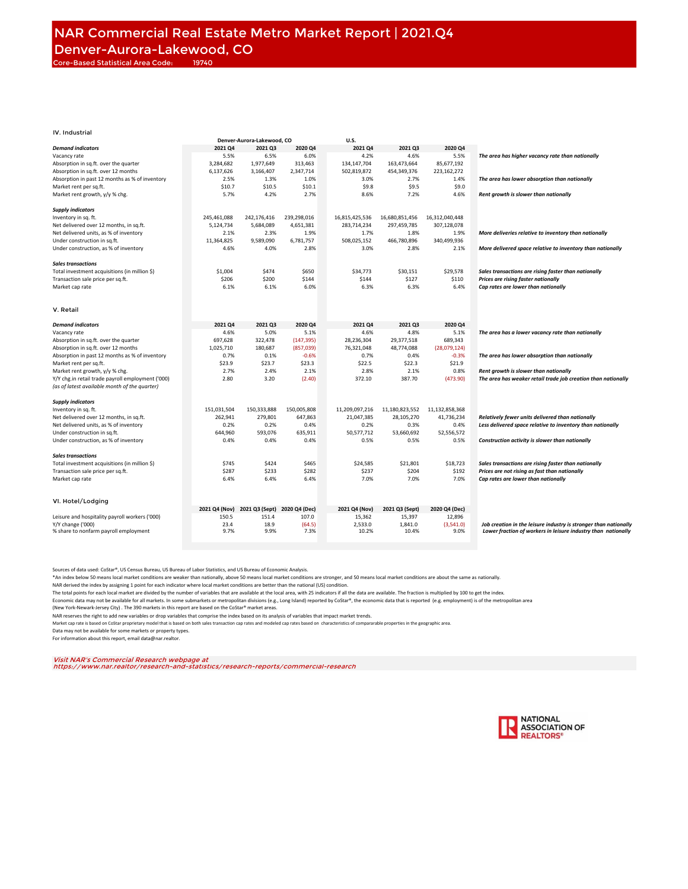|                                                   |               | Denver-Aurora-Lakewood, CO |               | U.S.           |                |                |                                                                  |
|---------------------------------------------------|---------------|----------------------------|---------------|----------------|----------------|----------------|------------------------------------------------------------------|
| <b>Demand indicators</b>                          | 2021 Q4       | 2021 Q3                    | 2020 Q4       | 2021 Q4        | 2021 03        | 2020 Q4        |                                                                  |
| Vacancy rate                                      | 5.5%          | 6.5%                       | 6.0%          | 4.2%           | 4.6%           | 5.5%           | The area has higher vacancy rate than nationally                 |
| Absorption in sq.ft. over the quarter             | 3,284,682     | 1,977,649                  | 313.463       | 134,147,704    | 163.473.664    | 85.677.192     |                                                                  |
|                                                   |               |                            |               |                |                |                |                                                                  |
| Absorption in sq.ft. over 12 months               | 6,137,626     | 3,166,407                  | 2,347,714     | 502,819,872    | 454,349,376    | 223,162,272    |                                                                  |
| Absorption in past 12 months as % of inventory    | 2.5%          | 1.3%                       | 1.0%          | 3.0%           | 2.7%           | 1.4%           | The area has lower absorption than nationally                    |
| Market rent per sq.ft.                            | \$10.7        | \$10.5                     | \$10.1        | \$9.8          | \$9.5          | \$9.0          |                                                                  |
| Market rent growth, y/y % chg.                    | 5.7%          | 4.2%                       | 2.7%          | 8.6%           | 7.2%           | 4.6%           | Rent growth is slower than nationally                            |
|                                                   |               |                            |               |                |                |                |                                                                  |
| <b>Supply indicators</b>                          |               |                            |               |                |                |                |                                                                  |
| Inventory in sq. ft.                              | 245,461,088   | 242,176,416                | 239,298,016   | 16,815,425,536 | 16,680,851,456 | 16.312.040.448 |                                                                  |
|                                                   |               |                            |               |                |                |                |                                                                  |
| Net delivered over 12 months, in sq.ft.           | 5,124,734     | 5,684,089                  | 4,651,381     | 283,714,234    | 297,459,785    | 307,128,078    |                                                                  |
| Net delivered units, as % of inventory            | 2.1%          | 2.3%                       | 1.9%          | 1.7%           | 1.8%           | 1.9%           | More deliveries relative to inventory than nationally            |
| Under construction in sq.ft.                      | 11,364,825    | 9,589,090                  | 6,781,757     | 508,025,152    | 466,780,896    | 340,499,936    |                                                                  |
| Under construction, as % of inventory             | 4.6%          | 4.0%                       | 2.8%          | 3.0%           | 2.8%           | 2.1%           | More delivered space relative to inventory than nationally       |
|                                                   |               |                            |               |                |                |                |                                                                  |
| <b>Sales transactions</b>                         |               |                            |               |                |                |                |                                                                  |
| Total investment acquisitions (in million \$)     | \$1,004       | \$474                      | \$650         | \$34,773       | \$30,151       | \$29,578       | Sales transactions are rising faster than nationally             |
|                                                   |               |                            |               |                |                |                |                                                                  |
| Transaction sale price per sq.ft.                 | \$206         | \$200                      | \$144         | \$144          | \$127          | \$110          | Prices are rising faster nationally                              |
| Market cap rate                                   | 6.1%          | 6.1%                       | 6.0%          | 6.3%           | 6.3%           | 6.4%           | Cap rates are lower than nationally                              |
|                                                   |               |                            |               |                |                |                |                                                                  |
|                                                   |               |                            |               |                |                |                |                                                                  |
| V. Retail                                         |               |                            |               |                |                |                |                                                                  |
|                                                   |               |                            |               |                |                |                |                                                                  |
| <b>Demand indicators</b>                          | 2021 Q4       | 2021 Q3                    | 2020 Q4       | 2021 Q4        | 2021 Q3        | 2020 Q4        |                                                                  |
| Vacancy rate                                      | 4.6%          | 5.0%                       | 5.1%          | 4.6%           | 4.8%           | 5.1%           | The area has a lower vacancy rate than nationally                |
|                                                   |               |                            |               |                |                |                |                                                                  |
| Absorption in sq.ft. over the quarter             | 697,628       | 322,478                    | (147, 395)    | 28,236,304     | 29,377,518     | 689,343        |                                                                  |
| Absorption in sq.ft. over 12 months               | 1,025,710     | 180,687                    | (857, 039)    | 76,321,048     | 48,774,088     | (28,079,124)   |                                                                  |
| Absorption in past 12 months as % of inventory    | 0.7%          | 0.1%                       | $-0.6%$       | 0.7%           | 0.4%           | $-0.3%$        | The area has lower absorption than nationally                    |
| Market rent per sq.ft.                            | \$23.9        | \$23.7                     | \$23.3        | \$22.5         | \$22.3         | \$21.9         |                                                                  |
| Market rent growth, y/y % chg.                    | 2.7%          | 2.4%                       | 2.1%          | 2.8%           | 2.1%           | 0.8%           | Rent growth is slower than nationally                            |
| Y/Y chg.in retail trade payroll employment ('000) | 2.80          | 3.20                       | (2.40)        | 372.10         | 387.70         | (473.90)       | The area has weaker retail trade job creation than nationally    |
|                                                   |               |                            |               |                |                |                |                                                                  |
| (as of latest available month of the quarter)     |               |                            |               |                |                |                |                                                                  |
|                                                   |               |                            |               |                |                |                |                                                                  |
| <b>Supply indicators</b>                          |               |                            |               |                |                |                |                                                                  |
| Inventory in sq. ft.                              | 151,031,504   | 150,333,888                | 150,005,808   | 11,209,097,216 | 11,180,823,552 | 11,132,858,368 |                                                                  |
| Net delivered over 12 months, in sq.ft.           | 262,941       | 279,801                    | 647,863       | 21,047,385     | 28,105,270     | 41,736,234     | Relatively fewer units delivered than nationally                 |
| Net delivered units, as % of inventory            | 0.2%          | 0.2%                       | 0.4%          | 0.2%           | 0.3%           | 0.4%           | Less delivered space relative to inventory than nationally       |
| Under construction in sq.ft.                      | 644,960       | 593,076                    | 635,911       | 50,577,712     | 53,660,692     | 52,556,572     |                                                                  |
| Under construction, as % of inventory             | 0.4%          | 0.4%                       | 0.4%          | 0.5%           | 0.5%           | 0.5%           | Construction activity is slower than nationally                  |
|                                                   |               |                            |               |                |                |                |                                                                  |
|                                                   |               |                            |               |                |                |                |                                                                  |
| <b>Sales transactions</b>                         |               |                            |               |                |                |                |                                                                  |
| Total investment acquisitions (in million \$)     | \$745         | \$424                      | \$465         | \$24,585       | \$21,801       | \$18,723       | Sales transactions are rising faster than nationally             |
| Transaction sale price per sq.ft.                 | \$287         | \$233                      | \$282         | \$237          | \$204          | \$192          | Prices are not rising as fast than nationally                    |
| Market cap rate                                   | 6.4%          | 6.4%                       | 6.4%          | 7.0%           | 7.0%           | 7.0%           | Cap rates are lower than nationally                              |
|                                                   |               |                            |               |                |                |                |                                                                  |
|                                                   |               |                            |               |                |                |                |                                                                  |
|                                                   |               |                            |               |                |                |                |                                                                  |
| VI. Hotel/Lodging                                 |               |                            |               |                |                |                |                                                                  |
|                                                   | 2021 Q4 (Nov) | 2021 Q3 (Sept)             | 2020 Q4 (Dec) | 2021 Q4 (Nov)  | 2021 Q3 (Sept) | 2020 Q4 (Dec)  |                                                                  |
| Leisure and hospitality payroll workers ('000)    | 150.5         | 151.4                      | 107.0         | 15,362         | 15,397         | 12,896         |                                                                  |
| Y/Y change ('000)                                 | 23.4          | 18.9                       | (64.5)        | 2,533.0        | 1,841.0        | (3,541.0)      | Job creation in the leisure industry is stronger than nationally |
| % share to nonfarm payroll employment             | 9.7%          | 9.9%                       | 7.3%          | 10.2%          | 10.4%          | 9.0%           | Lower fraction of workers in leisure industry than nationally    |
|                                                   |               |                            |               |                |                |                |                                                                  |
|                                                   |               |                            |               |                |                |                |                                                                  |

Sources of data used: CoStar®, US Census Bureau, US Bureau of Labor Statistics, and US Bureau of Economic Analysis.

\*An index below 50 means local market conditions are weaker than nationally, above 50 means local market and stomger, and 50 means local market conditions are about the same as nationally.<br>NAR derived the index by assignin

The total points for each local market are divided by the number of variables that are available at the local area, with 25 indicators if all the data are available. The fraction is multiplied by 100 to get the index.

Economic data may not be available for all markets. In some submarkets or metropolitan divisions (e.g., Long Island) reported by CoStar®, the economic data that is reported (e.g. employment) is of the metropolitan area

(New York-Newark-Jersey City) . The 390 markets in this report are based on the CoStar® market areas.

NAR reserves the right to add new variables or drop variables that comprise the index based on its analysis of variables that impact market trends.

Market cap rate is based on CoStar proprietary model that is based on both sales transaction cap rates and modeled cap rates based on characteristics of compararable properties in the geographic area. Data may not be available for some markets or property types.

For information about this report, email data@nar.realtor.

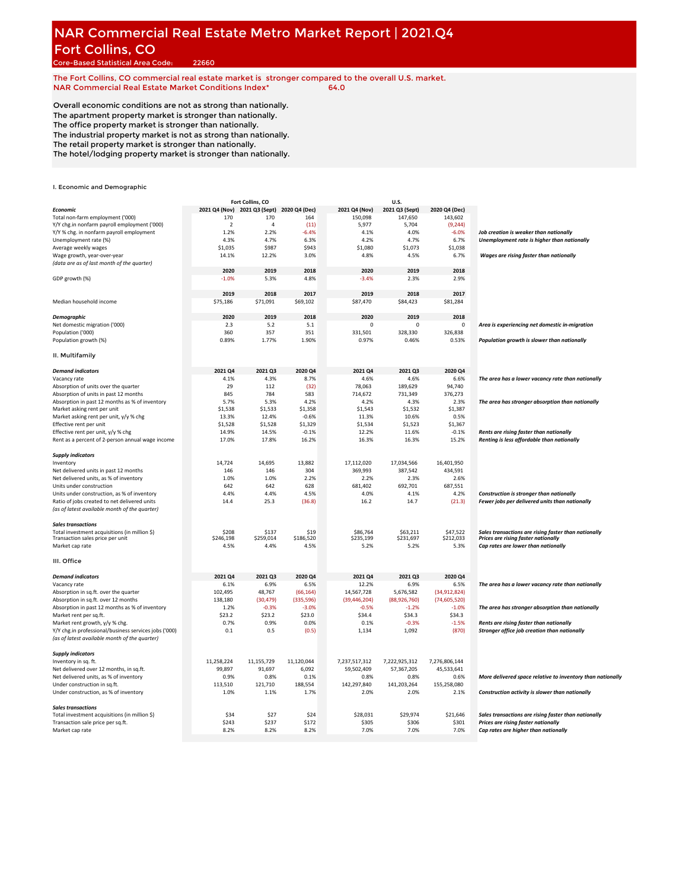# **NAR Commercial Real Estate Metro Market Report | 2021.Q4** Fort Collins, CO

Core-Based Statistical Area Code: 22660

**The Fort Collins, CO commercial real estate market is stronger compared to the overall U.S. market. NAR Commercial Real Estate Market Conditions Index\* 64.0**

Overall economic conditions are not as strong than nationally. The apartment property market is stronger than nationally. The office property market is stronger than nationally. The industrial property market is not as strong than nationally.

The retail property market is stronger than nationally. The hotel/lodging property market is stronger than nationally.

|                                                       |                                            | Fort Collins, CO |            |                | U.S.           |                |                                                            |
|-------------------------------------------------------|--------------------------------------------|------------------|------------|----------------|----------------|----------------|------------------------------------------------------------|
| Economic                                              | 2021 Q4 (Nov) 2021 Q3 (Sept) 2020 Q4 (Dec) |                  |            | 2021 Q4 (Nov)  | 2021 Q3 (Sept) | 2020 Q4 (Dec)  |                                                            |
| Total non-farm employment ('000)                      | 170                                        | 170              | 164        | 150,098        | 147,650        | 143,602        |                                                            |
| Y/Y chg.in nonfarm payroll employment ('000)          | $\overline{2}$                             | $\overline{4}$   | (11)       | 5,977          | 5,704          | (9, 244)       |                                                            |
| Y/Y % chg. in nonfarm payroll employment              | 1.2%                                       | 2.2%             | $-6.4%$    | 4.1%           | 4.0%           | $-6.0%$        | Job creation is weaker than nationally                     |
| Unemployment rate (%)                                 | 4.3%                                       | 4.7%             | 6.3%       | 4.2%           | 4.7%           | 6.7%           | Unemployment rate is higher than nationally                |
| Average weekly wages                                  | \$1,035                                    | \$987            | \$943      | \$1,080        | \$1,073        | \$1,038        |                                                            |
| Wage growth, year-over-year                           | 14.1%                                      | 12.2%            | 3.0%       | 4.8%           | 4.5%           | 6.7%           | Wages are rising faster than nationally                    |
| (data are as of last month of the quarter)            |                                            |                  |            |                |                |                |                                                            |
|                                                       | 2020                                       | 2019             | 2018       | 2020           | 2019           | 2018           |                                                            |
| GDP growth (%)                                        | $-1.0%$                                    | 5.3%             | 4.8%       | $-3.4%$        | 2.3%           | 2.9%           |                                                            |
|                                                       |                                            |                  |            |                |                |                |                                                            |
|                                                       | 2019                                       | 2018             | 2017       | 2019           | 2018           | 2017           |                                                            |
| Median household income                               | \$75,186                                   | \$71,091         | \$69,102   | \$87,470       | \$84,423       | \$81,284       |                                                            |
|                                                       |                                            |                  |            |                |                |                |                                                            |
| Demographic                                           | 2020                                       | 2019             | 2018       | 2020           | 2019           | 2018           |                                                            |
| Net domestic migration ('000)                         | 2.3                                        | 5.2              | 5.1        | $\mathbf 0$    | 0              | 0              | Area is experiencing net domestic in-migration             |
| Population ('000)                                     | 360                                        | 357              | 351        | 331,501        | 328,330        | 326.838        |                                                            |
| Population growth (%)                                 | 0.89%                                      | 1.77%            | 1.90%      | 0.97%          | 0.46%          | 0.53%          | Population growth is slower than nationally                |
|                                                       |                                            |                  |            |                |                |                |                                                            |
| II. Multifamily                                       |                                            |                  |            |                |                |                |                                                            |
| <b>Demand indicators</b>                              | 2021 Q4                                    | 2021 Q3          | 2020 Q4    | 2021 Q4        | 2021 Q3        | 2020 Q4        |                                                            |
| Vacancy rate                                          | 4.1%                                       | 4.3%             | 8.7%       | 4.6%           | 4.6%           | 6.6%           | The area has a lower vacancy rate than nationally          |
| Absorption of units over the quarter                  | 29                                         | 112              | (32)       | 78,063         | 189,629        | 94,740         |                                                            |
| Absorption of units in past 12 months                 | 845                                        | 784              | 583        | 714,672        | 731,349        | 376,273        |                                                            |
| Absorption in past 12 months as % of inventory        | 5.7%                                       | 5.3%             | 4.2%       | 4.2%           | 4.3%           | 2.3%           | The area has stronger absorption than nationally           |
| Market asking rent per unit                           | \$1,538                                    | \$1,533          | \$1,358    | \$1,543        | \$1,532        | \$1,387        |                                                            |
| Market asking rent per unit, y/y % chg                | 13.3%                                      | 12.4%            | $-0.6%$    | 11.3%          | 10.6%          | 0.5%           |                                                            |
| Effective rent per unit                               | \$1,528                                    | \$1,528          | \$1,329    | \$1,534        | \$1,523        | \$1,367        |                                                            |
| Effective rent per unit, y/y % chg                    | 14.9%                                      | 14.5%            | $-0.1%$    | 12.2%          | 11.6%          | $-0.1%$        | Rents are rising faster than nationally                    |
| Rent as a percent of 2-person annual wage income      | 17.0%                                      | 17.8%            | 16.2%      | 16.3%          | 16.3%          | 15.2%          | Renting is less affordable than nationally                 |
|                                                       |                                            |                  |            |                |                |                |                                                            |
| <b>Supply indicators</b>                              |                                            |                  |            |                |                |                |                                                            |
| Inventory                                             | 14,724                                     | 14,695           | 13,882     | 17,112,020     | 17,034,566     | 16,401,950     |                                                            |
| Net delivered units in past 12 months                 | 146                                        | 146              | 304        | 369,993        | 387,542        | 434,591        |                                                            |
| Net delivered units, as % of inventory                | 1.0%                                       | 1.0%             | 2.2%       | 2.2%           | 2.3%           | 2.6%           |                                                            |
| Units under construction                              | 642                                        | 642              | 628        | 681,402        | 692,701        | 687,551        |                                                            |
| Units under construction, as % of inventory           | 4.4%                                       | 4.4%             | 4.5%       | 4.0%           | 4.1%           | 4.2%           | Construction is stronger than nationally                   |
| Ratio of jobs created to net delivered units          | 14.4                                       | 25.3             | (36.8)     | 16.2           | 14.7           | (21.3)         | Fewer jobs per delivered units than nationally             |
| (as of latest available month of the quarter)         |                                            |                  |            |                |                |                |                                                            |
| <b>Sales transactions</b>                             |                                            |                  |            |                |                |                |                                                            |
| Total investment acquisitions (in million \$)         | \$208                                      | \$137            | \$19       | \$86,764       | \$63,211       | \$47,522       | Sales transactions are rising faster than nationally       |
| Transaction sales price per unit                      | \$246,198                                  | \$259,014        | \$186,520  | \$235,199      | \$231,697      | \$212,033      | Prices are rising faster nationally                        |
| Market cap rate                                       | 4.5%                                       | 4.4%             | 4.5%       | 5.2%           | 5.2%           | 5.3%           | Cap rates are lower than nationally                        |
| III. Office                                           |                                            |                  |            |                |                |                |                                                            |
|                                                       |                                            |                  |            |                |                |                |                                                            |
| <b>Demand indicators</b>                              | 2021 Q4                                    | 2021 Q3          | 2020 Q4    | 2021 Q4        | 2021 Q3        | 2020 Q4        |                                                            |
| Vacancy rate                                          | 6.1%                                       | 6.9%             | 6.5%       | 12.2%          | 6.9%           | 6.5%           | The area has a lower vacancy rate than nationally          |
| Absorption in sq.ft. over the quarter                 | 102.495                                    | 48,767           | (66, 164)  | 14,567,728     | 5,676,582      | (34,912,824)   |                                                            |
| Absorption in sq.ft. over 12 months                   | 138,180                                    | (30, 479)        | (335, 596) | (39, 446, 204) | (88,926,760)   | (74, 605, 520) |                                                            |
| Absorption in past 12 months as % of inventory        | 1.2%                                       | $-0.3%$          | $-3.0%$    | $-0.5%$        | $-1.2%$        | $-1.0%$        | The area has stronger absorption than nationally           |
| Market rent per sq.ft.                                | \$23.2                                     | \$23.2           | \$23.0     | \$34.4         | \$34.3         | \$34.3         |                                                            |
| Market rent growth, y/y % chg.                        | 0.7%                                       | 0.9%             | 0.0%       | 0.1%           | $-0.3%$        | $-1.5%$        | Rents are rising faster than nationally                    |
| Y/Y chg.in professional/business services jobs ('000) | 0.1                                        | 0.5              | (0.5)      | 1,134          | 1,092          | (870)          | Stronger office job creation than nationally               |
| (as of latest available month of the quarter)         |                                            |                  |            |                |                |                |                                                            |
| <b>Supply indicators</b>                              |                                            |                  |            |                |                |                |                                                            |
| Inventory in sq. ft.                                  | 11,258,224                                 | 11,155,729       | 11,120,044 | 7,237,517,312  | 7,222,925,312  | 7,276,806,144  |                                                            |
| Net delivered over 12 months, in sq.ft.               | 99,897                                     | 91,697           | 6,092      | 59,502,409     | 57,367,205     | 45,533,641     |                                                            |
| Net delivered units, as % of inventory                | 0.9%                                       | 0.8%             | 0.1%       | 0.8%           | 0.8%           | 0.6%           | More delivered space relative to inventory than nationally |
| Under construction in sq.ft.                          | 113,510                                    | 121,710          | 188,554    | 142,297,840    | 141,203,264    | 155,258,080    |                                                            |
| Under construction, as % of inventory                 | 1.0%                                       | 1.1%             | 1.7%       | 2.0%           | 2.0%           | 2.1%           | Construction activity is slower than nationally            |
| <b>Sales transactions</b>                             |                                            |                  |            |                |                |                |                                                            |
| Total investment acquisitions (in million \$)         | \$34                                       | \$27             | \$24       | \$28,031       | \$29,974       | \$21,646       | Sales transactions are rising faster than nationally       |
| Transaction sale price per sq.ft.                     | \$243                                      | \$237            | \$172      | \$305          | \$306          | \$301          | Prices are rising faster nationally                        |
| Market cap rate                                       | 8.2%                                       | 8.2%             | 8.2%       | 7.0%           | 7.0%           | 7.0%           | Cap rates are higher than nationally                       |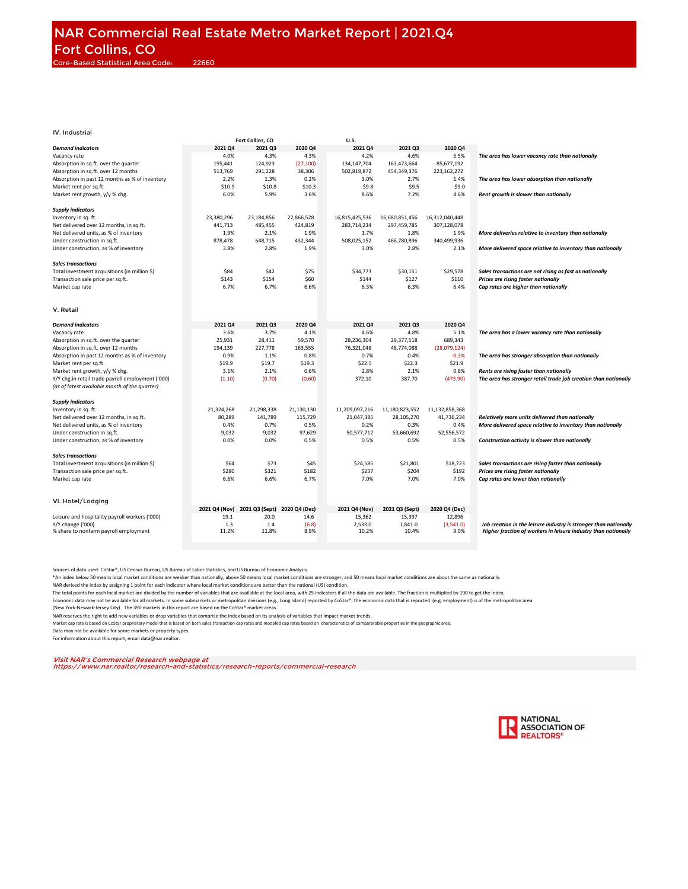|                                                   |               | Fort Collins, CO |               | U.S.           |                |                |                                                                  |
|---------------------------------------------------|---------------|------------------|---------------|----------------|----------------|----------------|------------------------------------------------------------------|
| <b>Demand indicators</b>                          | 2021 Q4       | 2021 Q3          | 2020 Q4       | 2021 Q4        | 2021 Q3        | 2020 Q4        |                                                                  |
| Vacancy rate                                      | 4.0%          | 4.3%             | 4.3%          | 4.2%           | 4.6%           | 5.5%           | The area has lower vacancy rate than nationally                  |
| Absorption in sq.ft. over the quarter             | 195,441       | 124,923          | (27, 100)     | 134,147,704    | 163,473,664    | 85,677,192     |                                                                  |
|                                                   |               |                  |               |                |                |                |                                                                  |
| Absorption in sq.ft. over 12 months               | 513,769       | 291,228          | 38,306        | 502,819,872    | 454,349,376    | 223,162,272    |                                                                  |
| Absorption in past 12 months as % of inventory    | 2.2%          | 1.3%             | 0.2%          | 3.0%           | 2.7%           | 1.4%           | The area has lower absorption than nationally                    |
| Market rent per sq.ft.                            | \$10.9        | \$10.8           | \$10.3        | \$9.8          | \$9.5          | \$9.0          |                                                                  |
| Market rent growth, y/y % chg.                    | 6.0%          | 5.9%             | 3.6%          | 8.6%           | 7.2%           | 4.6%           | Rent growth is slower than nationally                            |
|                                                   |               |                  |               |                |                |                |                                                                  |
| <b>Supply indicators</b>                          |               |                  |               |                |                |                |                                                                  |
| Inventory in sq. ft.                              | 23,380,296    | 23,184,856       | 22,866,528    | 16,815,425,536 | 16,680,851,456 | 16,312,040,448 |                                                                  |
|                                                   |               |                  |               |                |                |                |                                                                  |
| Net delivered over 12 months, in sq.ft.           | 441,713       | 485,455          | 424,819       | 283,714,234    | 297,459,785    | 307,128,078    |                                                                  |
| Net delivered units, as % of inventory            | 1.9%          | 2.1%             | 1.9%          | 1.7%           | 1.8%           | 1.9%           | More deliveries relative to inventory than nationally            |
| Under construction in sq.ft.                      | 878,478       | 648,715          | 432,344       | 508,025,152    | 466,780,896    | 340,499,936    |                                                                  |
| Under construction, as % of inventory             | 3.8%          | 2.8%             | 1.9%          | 3.0%           | 2.8%           | 2.1%           | More delivered space relative to inventory than nationally       |
|                                                   |               |                  |               |                |                |                |                                                                  |
| <b>Sales transactions</b>                         |               |                  |               |                |                |                |                                                                  |
| Total investment acquisitions (in million \$)     | \$84          | \$42             | \$75          | \$34,773       | \$30,151       | \$29,578       | Sales transactions are not rising as fast as nationally          |
|                                                   |               |                  |               |                |                |                |                                                                  |
| Transaction sale price per sq.ft.                 | \$143         | \$154            | \$60          | \$144          | \$127          | \$110          | Prices are rising faster nationally                              |
| Market cap rate                                   | 6.7%          | 6.7%             | 6.6%          | 6.3%           | 6.3%           | 6.4%           | Cap rates are higher than nationally                             |
|                                                   |               |                  |               |                |                |                |                                                                  |
|                                                   |               |                  |               |                |                |                |                                                                  |
| V. Retail                                         |               |                  |               |                |                |                |                                                                  |
|                                                   |               |                  |               |                |                |                |                                                                  |
| <b>Demand indicators</b>                          | 2021 Q4       | 2021 Q3          | 2020 Q4       | 2021 Q4        | 2021 Q3        | 2020 Q4        |                                                                  |
| Vacancy rate                                      | 3.6%          | 3.7%             | 4.1%          | 4.6%           | 4.8%           | 5.1%           | The area has a lower vacancy rate than nationally                |
|                                                   |               |                  |               |                |                |                |                                                                  |
| Absorption in sq.ft. over the quarter             | 25,931        | 28,411           | 59,570        | 28,236,304     | 29,377,518     | 689,343        |                                                                  |
| Absorption in sq.ft. over 12 months               | 194,139       | 227,778          | 163.555       | 76,321,048     | 48,774,088     | (28,079,124)   |                                                                  |
| Absorption in past 12 months as % of inventory    | 0.9%          | 1.1%             | 0.8%          | 0.7%           | 0.4%           | $-0.3%$        | The area has stronger absorption than nationally                 |
| Market rent per sq.ft.                            | \$19.9        | \$19.7           | \$19.3        | \$22.5         | \$22.3         | \$21.9         |                                                                  |
| Market rent growth, y/y % chg.                    | 3.1%          | 2.1%             | 0.6%          | 2.8%           | 2.1%           | 0.8%           | Rents are rising faster than nationally                          |
| Y/Y chg.in retail trade payroll employment ('000) | (1.10)        | (0.70)           | (0.60)        | 372.10         | 387.70         | (473.90)       | The area has stronger retail trade job creation than nationally  |
| (as of latest available month of the quarter)     |               |                  |               |                |                |                |                                                                  |
|                                                   |               |                  |               |                |                |                |                                                                  |
|                                                   |               |                  |               |                |                |                |                                                                  |
| <b>Supply indicators</b>                          |               |                  |               |                |                |                |                                                                  |
| Inventory in sq. ft.                              | 21,324,268    | 21,298,338       | 21,130,130    | 11,209,097,216 | 11,180,823,552 | 11,132,858,368 |                                                                  |
| Net delivered over 12 months, in sq.ft.           | 80,289        | 141,789          | 115,729       | 21,047,385     | 28,105,270     | 41,736,234     | Relatively more units delivered than nationally                  |
| Net delivered units, as % of inventory            | 0.4%          | 0.7%             | 0.5%          | 0.2%           | 0.3%           | 0.4%           | More delivered space relative to inventory than nationally       |
| Under construction in sq.ft.                      | 9,032         | 9,032            | 97,629        | 50,577,712     | 53,660,692     | 52,556,572     |                                                                  |
| Under construction, as % of inventory             | 0.0%          | 0.0%             | 0.5%          | 0.5%           | 0.5%           | 0.5%           | Construction activity is slower than nationally                  |
|                                                   |               |                  |               |                |                |                |                                                                  |
|                                                   |               |                  |               |                |                |                |                                                                  |
| <b>Sales transactions</b>                         |               |                  |               |                |                |                |                                                                  |
| Total investment acquisitions (in million \$)     | \$64          | \$73             | \$45          | \$24,585       | \$21,801       | \$18,723       | Sales transactions are rising faster than nationally             |
| Transaction sale price per sq.ft.                 | \$280         | \$321            | \$182         | \$237          | \$204          | \$192          | Prices are rising faster nationally                              |
| Market cap rate                                   | 6.6%          | 6.6%             | 6.7%          | 7.0%           | 7.0%           | 7.0%           | Cap rates are lower than nationally                              |
|                                                   |               |                  |               |                |                |                |                                                                  |
|                                                   |               |                  |               |                |                |                |                                                                  |
| VI. Hotel/Lodging                                 |               |                  |               |                |                |                |                                                                  |
|                                                   | 2021 Q4 (Nov) | 2021 Q3 (Sept)   | 2020 Q4 (Dec) | 2021 Q4 (Nov)  | 2021 Q3 (Sept) | 2020 Q4 (Dec)  |                                                                  |
|                                                   |               |                  |               |                |                |                |                                                                  |
| Leisure and hospitality payroll workers ('000)    | 19.1          | 20.0             | 14.6          | 15,362         | 15,397         | 12,896         |                                                                  |
| Y/Y change ('000)                                 | 1.3           | 1.4              | (6.8)         | 2,533.0        | 1,841.0        | (3,541.0)      | Job creation in the leisure industry is stronger than nationally |
| % share to nonfarm payroll employment             | 11.2%         | 11.8%            | 8.9%          | 10.2%          | 10.4%          | 9.0%           | Higher fraction of workers in leisure industry than nationally   |
|                                                   |               |                  |               |                |                |                |                                                                  |

Sources of data used: CoStar®, US Census Bureau, US Bureau of Labor Statistics, and US Bureau of Economic Analysis.

\*An index below 50 means local market conditions are weaker than nationally, above 50 means local market and stomger, and 50 means local market conditions are about the same as nationally.<br>NAR derived the index by assignin

The total points for each local market are divided by the number of variables that are available at the local area, with 25 indicators if all the data are available. The fraction is multiplied by 100 to get the index.

Economic data may not be available for all markets. In some submarkets or metropolitan divisions (e.g., Long Island) reported by CoStar®, the economic data that is reported (e.g. employment) is of the metropolitan area

(New York-Newark-Jersey City) . The 390 markets in this report are based on the CoStar® market areas.

NAR reserves the right to add new variables or drop variables that comprise the index based on its analysis of variables that impact market trends.

Market cap rate is based on CoStar proprietary model that is based on both sales transaction cap rates and modeled cap rates based on characteristics of compararable properties in the geographic area.

Data may not be available for some markets or property types.

For information about this report, email data@nar.realtor.

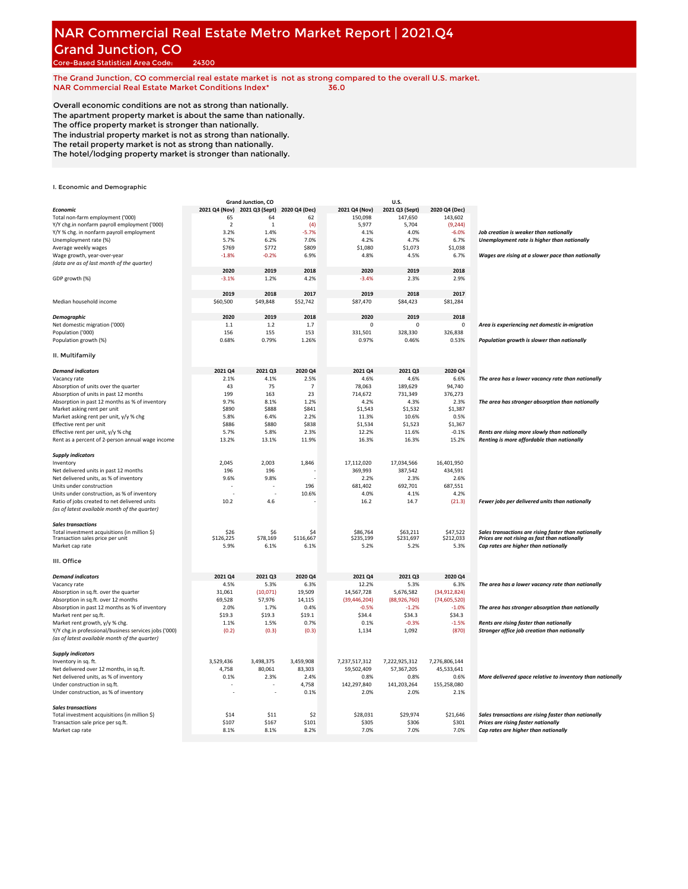# **NAR Commercial Real Estate Metro Market Report | 2021.Q4** Grand Junction, CO

Core-Based Statistical Area Code: 24300

**The Grand Junction, CO commercial real estate market is not as strong compared to the overall U.S. market. NAR Commercial Real Estate Market Conditions Index\* 36.0**

Overall economic conditions are not as strong than nationally. The apartment property market is about the same than nationally. The office property market is stronger than nationally. The industrial property market is not as strong than nationally. The retail property market is not as strong than nationally.

The hotel/lodging property market is stronger than nationally.

|                                                       |                                            | Grand Junction, CO |                |                | U.S.           |                |                                                            |
|-------------------------------------------------------|--------------------------------------------|--------------------|----------------|----------------|----------------|----------------|------------------------------------------------------------|
| Economic                                              | 2021 Q4 (Nov) 2021 Q3 (Sept) 2020 Q4 (Dec) |                    |                | 2021 Q4 (Nov)  | 2021 Q3 (Sept) | 2020 Q4 (Dec)  |                                                            |
| Total non-farm employment ('000)                      | 65                                         | 64                 | 62             | 150,098        | 147,650        | 143,602        |                                                            |
| Y/Y chg.in nonfarm payroll employment ('000)          | $\overline{2}$                             | 1                  | (4)            | 5,977          | 5,704          | (9, 244)       |                                                            |
|                                                       |                                            |                    |                |                |                |                |                                                            |
| Y/Y % chg. in nonfarm payroll employment              | 3.2%                                       | 1.4%               | $-5.7%$        | 4.1%           | 4.0%           | $-6.0%$        | Job creation is weaker than nationally                     |
| Unemployment rate (%)                                 | 5.7%                                       | 6.2%               | 7.0%           | 4.2%           | 4.7%           | 6.7%           | Unemployment rate is higher than nationally                |
| Average weekly wages                                  | \$769                                      | \$772              | \$809          | \$1,080        | \$1,073        | \$1,038        |                                                            |
| Wage growth, year-over-year                           | $-1.8%$                                    | $-0.2%$            | 6.9%           | 4.8%           | 4.5%           | 6.7%           | Wages are rising at a slower pace than nationally          |
| (data are as of last month of the quarter)            |                                            |                    |                |                |                |                |                                                            |
|                                                       | 2020                                       | 2019               | 2018           | 2020           |                | 2018           |                                                            |
|                                                       |                                            |                    |                |                | 2019           |                |                                                            |
| GDP growth (%)                                        | $-3.1%$                                    | 1.2%               | 4.2%           | $-3.4%$        | 2.3%           | 2.9%           |                                                            |
|                                                       |                                            |                    |                |                |                |                |                                                            |
|                                                       | 2019                                       | 2018               | 2017           | 2019           | 2018           | 2017           |                                                            |
| Median household income                               | \$60,500                                   | \$49,848           | \$52,742       | \$87,470       | \$84,423       | \$81,284       |                                                            |
|                                                       |                                            |                    |                |                |                |                |                                                            |
| <b>Demographic</b>                                    | 2020                                       | 2019               | 2018           | 2020           | 2019           | 2018           |                                                            |
|                                                       |                                            |                    | 1.7            | $\Omega$       | $\Omega$       |                |                                                            |
| Net domestic migration ('000)                         | 1.1                                        | 1.2                |                |                |                | 0              | Area is experiencing net domestic in-migration             |
| Population ('000)                                     | 156                                        | 155                | 153            | 331,501        | 328,330        | 326,838        |                                                            |
| Population growth (%)                                 | 0.68%                                      | 0.79%              | 1.26%          | 0.97%          | 0.46%          | 0.53%          | Population growth is slower than nationally                |
|                                                       |                                            |                    |                |                |                |                |                                                            |
| II. Multifamily                                       |                                            |                    |                |                |                |                |                                                            |
| <b>Demand indicators</b>                              | 2021 Q4                                    | 2021 Q3            | 2020 Q4        | 2021 Q4        | 2021 Q3        | 2020 Q4        |                                                            |
| Vacancy rate                                          | 2.1%                                       | 4.1%               | 2.5%           | 4.6%           | 4.6%           | 6.6%           | The area has a lower vacancy rate than nationally          |
| Absorption of units over the quarter                  | 43                                         | 75                 | $\overline{7}$ | 78,063         | 189,629        | 94,740         |                                                            |
| Absorption of units in past 12 months                 | 199                                        | 163                | 23             | 714,672        | 731,349        | 376,273        |                                                            |
|                                                       |                                            |                    |                |                |                |                |                                                            |
| Absorption in past 12 months as % of inventory        | 9.7%                                       | 8.1%               | 1.2%           | 4.2%           | 4.3%           | 2.3%           | The area has stronger absorption than nationally           |
| Market asking rent per unit                           | \$890                                      | \$888              | \$841          | \$1,543        | \$1,532        | \$1,387        |                                                            |
| Market asking rent per unit, y/y % chg                | 5.8%                                       | 6.4%               | 2.2%           | 11.3%          | 10.6%          | 0.5%           |                                                            |
| Effective rent per unit                               | \$886                                      | \$880              | \$838          | \$1,534        | \$1,523        | \$1,367        |                                                            |
| Effective rent per unit, y/y % chg                    | 5.7%                                       | 5.8%               | 2.3%           | 12.2%          | 11.6%          | $-0.1%$        | Rents are rising more slowly than nationally               |
| Rent as a percent of 2-person annual wage income      | 13.2%                                      | 13.1%              | 11.9%          | 16.3%          | 16.3%          | 15.2%          | Renting is more affordable than nationally                 |
|                                                       |                                            |                    |                |                |                |                |                                                            |
| <b>Supply indicators</b>                              |                                            |                    |                |                |                |                |                                                            |
| Inventory                                             | 2,045                                      | 2,003              | 1,846          | 17,112,020     | 17,034,566     | 16,401,950     |                                                            |
| Net delivered units in past 12 months                 | 196                                        | 196                |                | 369,993        | 387,542        | 434,591        |                                                            |
| Net delivered units, as % of inventory                | 9.6%                                       | 9.8%               |                | 2.2%           | 2.3%           | 2.6%           |                                                            |
| Units under construction                              |                                            |                    | 196            | 681,402        | 692,701        | 687,551        |                                                            |
| Units under construction, as % of inventory           |                                            |                    | 10.6%          | 4.0%           | 4.1%           | 4.2%           |                                                            |
|                                                       |                                            |                    |                |                |                |                |                                                            |
| Ratio of jobs created to net delivered units          | 10.2                                       | 4.6                |                | 16.2           | 14.7           | (21.3)         | Fewer jobs per delivered units than nationally             |
| (as of latest available month of the quarter)         |                                            |                    |                |                |                |                |                                                            |
| <b>Sales transactions</b>                             |                                            |                    |                |                |                |                |                                                            |
| Total investment acquisitions (in million \$)         | \$26                                       | \$6                | \$4            | \$86,764       | \$63,211       | \$47,522       | Sales transactions are rising faster than nationally       |
| Transaction sales price per unit                      | \$126,225                                  | \$78,169           | \$116,667      | \$235,199      | \$231,697      | \$212,033      | Prices are not rising as fast than nationally              |
| Market cap rate                                       | 5.9%                                       | 6.1%               | 6.1%           | 5.2%           | 5.2%           | 5.3%           | Cap rates are higher than nationally                       |
|                                                       |                                            |                    |                |                |                |                |                                                            |
| III. Office                                           |                                            |                    |                |                |                |                |                                                            |
| <b>Demand indicators</b>                              | 2021 Q4                                    | 2021 Q3            | 2020 Q4        | 2021 Q4        | 2021 Q3        | 2020 Q4        |                                                            |
| Vacancy rate                                          | 4.5%                                       | 5.3%               | 6.3%           | 12.2%          | 5.3%           | 6.3%           | The area has a lower vacancy rate than nationally          |
| Absorption in sq.ft. over the quarter                 | 31,061                                     | (10,071)           | 19,509         | 14,567,728     | 5,676,582      | (34,912,824)   |                                                            |
| Absorption in sq.ft. over 12 months                   | 69,528                                     | 57,976             | 14,115         | (39, 446, 204) | (88,926,760)   | (74, 605, 520) |                                                            |
|                                                       |                                            |                    |                |                |                |                |                                                            |
| Absorption in past 12 months as % of inventory        | 2.0%                                       | 1.7%               | 0.4%           | $-0.5%$        | $-1.2%$        | $-1.0%$        | The area has stronger absorption than nationally           |
| Market rent per sq.ft.                                | \$19.3                                     | \$19.3             | \$19.1         | \$34.4         | \$34.3         | \$34.3         |                                                            |
| Market rent growth, y/y % chg.                        | 1.1%                                       | 1.5%               | 0.7%           | 0.1%           | $-0.3%$        | $-1.5%$        | Rents are rising faster than nationally                    |
| Y/Y chg.in professional/business services jobs ('000) | (0.2)                                      | (0.3)              | (0.3)          | 1,134          | 1,092          | (870)          | Stronger office job creation than nationally               |
| (as of latest available month of the quarter)         |                                            |                    |                |                |                |                |                                                            |
| <b>Supply indicators</b>                              |                                            |                    |                |                |                |                |                                                            |
| Inventory in sq. ft.                                  | 3,529,436                                  | 3,498,375          | 3,459,908      | 7,237,517,312  | 7,222,925,312  | 7,276,806,144  |                                                            |
|                                                       |                                            |                    |                |                |                |                |                                                            |
| Net delivered over 12 months, in sq.ft.               | 4,758                                      | 80,061             | 83,303         | 59,502,409     | 57,367,205     | 45,533,641     |                                                            |
| Net delivered units, as % of inventory                | 0.1%                                       | 2.3%               | 2.4%           | 0.8%           | 0.8%           | 0.6%           | More delivered space relative to inventory than nationally |
| Under construction in sq.ft.                          |                                            |                    | 4,758          | 142,297,840    | 141,203,264    | 155,258,080    |                                                            |
| Under construction, as % of inventory                 |                                            |                    | 0.1%           | 2.0%           | 2.0%           | 2.1%           |                                                            |
| <b>Sales transactions</b>                             |                                            |                    |                |                |                |                |                                                            |
| Total investment acquisitions (in million \$)         | \$14                                       | \$11               | \$2            | \$28,031       | \$29,974       | \$21,646       | Sales transactions are rising faster than nationally       |
| Transaction sale price per sq.ft.                     | \$107                                      | \$167              | \$101          | \$305          | \$306          | \$301          | Prices are rising faster nationally                        |
| Market cap rate                                       | 8.1%                                       | 8.1%               | 8.2%           | 7.0%           | 7.0%           | 7.0%           | Cap rates are higher than nationally                       |
|                                                       |                                            |                    |                |                |                |                |                                                            |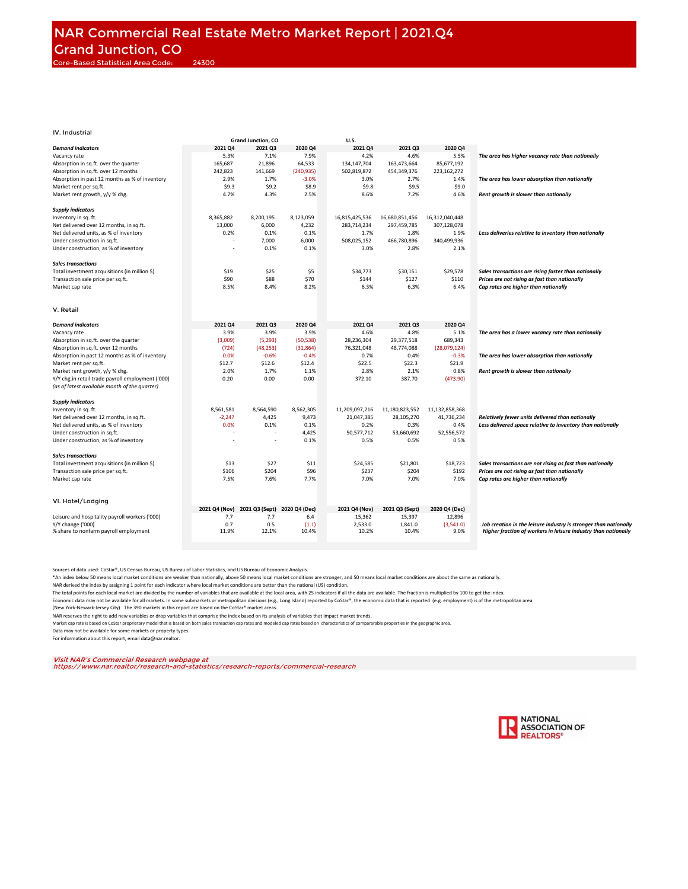|                                                            |               | <b>Grand Junction, CO</b> |                | U.S.             |                  |                   |                                                                                                                                    |
|------------------------------------------------------------|---------------|---------------------------|----------------|------------------|------------------|-------------------|------------------------------------------------------------------------------------------------------------------------------------|
| <b>Demand indicators</b>                                   | 2021 Q4       | 2021 Q3                   | 2020 Q4        | 2021 Q4          | 2021 03          | 2020 Q4           |                                                                                                                                    |
| Vacancy rate                                               | 5.3%          | 7.1%                      | 7.9%           | 4.2%             | 4.6%             | 5.5%              | The area has higher vacancy rate than nationally                                                                                   |
| Absorption in sq.ft. over the quarter                      | 165.687       | 21.896                    | 64.533         | 134.147.704      | 163.473.664      | 85.677.192        |                                                                                                                                    |
|                                                            |               |                           |                |                  |                  |                   |                                                                                                                                    |
| Absorption in sq.ft. over 12 months                        | 242,823       | 141,669                   | (240, 935)     | 502,819,872      | 454,349,376      | 223,162,272       |                                                                                                                                    |
| Absorption in past 12 months as % of inventory             | 2.9%          | 1.7%                      | $-3.0%$        | 3.0%             | 2.7%             | 1.4%              | The area has lower absorption than nationally                                                                                      |
| Market rent per sq.ft.                                     | \$9.3         | \$9.2                     | \$8.9          | \$9.8            | \$9.5            | \$9.0             |                                                                                                                                    |
| Market rent growth, y/y % chg.                             | 4.7%          | 4.3%                      | 2.5%           | 8.6%             | 7.2%             | 4.6%              | Rent growth is slower than nationally                                                                                              |
|                                                            |               |                           |                |                  |                  |                   |                                                                                                                                    |
| <b>Supply indicators</b>                                   |               |                           |                |                  |                  |                   |                                                                                                                                    |
| Inventory in sq. ft.                                       | 8,365,882     | 8,200,195                 | 8,123,059      | 16,815,425,536   | 16,680,851,456   | 16,312,040,448    |                                                                                                                                    |
| Net delivered over 12 months, in sq.ft.                    | 13,000        | 6,000                     | 4,232          | 283,714,234      | 297,459,785      | 307,128,078       |                                                                                                                                    |
| Net delivered units, as % of inventory                     | 0.2%          | 0.1%                      | 0.1%           | 1.7%             | 1.8%             | 1.9%              | Less deliveries relative to inventory than nationally                                                                              |
| Under construction in sq.ft.                               |               | 7,000                     | 6,000          | 508,025,152      | 466,780,896      | 340,499,936       |                                                                                                                                    |
|                                                            |               |                           | 0.1%           | 3.0%             | 2.8%             | 2.1%              |                                                                                                                                    |
| Under construction, as % of inventory                      |               | 0.1%                      |                |                  |                  |                   |                                                                                                                                    |
| <b>Sales transactions</b>                                  |               |                           |                |                  |                  |                   |                                                                                                                                    |
| Total investment acquisitions (in million \$)              | \$19          | \$25                      | \$5            | \$34,773         | \$30,151         | \$29,578          | Sales transactions are rising faster than nationally                                                                               |
| Transaction sale price per sq.ft.                          | \$90          | \$88                      | \$70           | \$144            | \$127            | \$110             | Prices are not rising as fast than nationally                                                                                      |
|                                                            |               |                           |                |                  |                  |                   |                                                                                                                                    |
| Market cap rate                                            | 8.5%          | 8.4%                      | 8.2%           | 6.3%             | 6.3%             | 6.4%              | Cap rates are higher than nationally                                                                                               |
|                                                            |               |                           |                |                  |                  |                   |                                                                                                                                    |
| V. Retail                                                  |               |                           |                |                  |                  |                   |                                                                                                                                    |
|                                                            |               |                           |                |                  |                  |                   |                                                                                                                                    |
| <b>Demand indicators</b>                                   | 2021 Q4       | 2021 Q3                   | 2020 Q4        | 2021 Q4          | 2021 Q3          | 2020 Q4           |                                                                                                                                    |
| Vacancy rate                                               | 3.9%          | 3.9%                      | 3.9%           | 4.6%             | 4.8%             | 5.1%              | The area has a lower vacancy rate than nationally                                                                                  |
| Absorption in sq.ft. over the quarter                      | (3,009)       | (5, 293)                  | (50, 538)      | 28,236,304       | 29,377,518       | 689,343           |                                                                                                                                    |
| Absorption in sq.ft. over 12 months                        | (724)         | (48, 253)                 | (31, 864)      | 76,321,048       | 48,774,088       | (28,079,124)      |                                                                                                                                    |
| Absorption in past 12 months as % of inventory             | 0.0%          | $-0.6%$                   | $-0.4%$        | 0.7%             | 0.4%             | $-0.3%$           | The area has lower absorption than nationally                                                                                      |
|                                                            |               |                           |                |                  |                  |                   |                                                                                                                                    |
| Market rent per sq.ft.                                     | \$12.7        | \$12.6                    | \$12.4         | \$22.5           | \$22.3           | \$21.9            |                                                                                                                                    |
| Market rent growth, y/y % chg.                             | 2.0%          | 1.7%                      | 1.1%           | 2.8%             | 2.1%             | 0.8%              | Rent growth is slower than nationally                                                                                              |
| Y/Y chg.in retail trade payroll employment ('000)          | 0.20          | 0.00                      | 0.00           | 372.10           | 387.70           | (473.90)          |                                                                                                                                    |
| (as of latest available month of the quarter)              |               |                           |                |                  |                  |                   |                                                                                                                                    |
|                                                            |               |                           |                |                  |                  |                   |                                                                                                                                    |
| <b>Supply indicators</b>                                   |               |                           |                |                  |                  |                   |                                                                                                                                    |
| Inventory in sq. ft.                                       | 8,561,581     | 8,564,590                 | 8,562,305      | 11,209,097,216   | 11,180,823,552   | 11,132,858,368    |                                                                                                                                    |
| Net delivered over 12 months, in sq.ft.                    | $-2,247$      | 4,425                     | 9,473          | 21,047,385       | 28,105,270       | 41,736,234        | Relatively fewer units delivered than nationally                                                                                   |
| Net delivered units, as % of inventory                     | 0.0%          | 0.1%                      | 0.1%           | 0.2%             | 0.3%             | 0.4%              | Less delivered space relative to inventory than nationally                                                                         |
| Under construction in sq.ft.                               |               |                           | 4,425          | 50,577,712       | 53,660,692       | 52,556,572        |                                                                                                                                    |
| Under construction, as % of inventory                      |               | ÷,                        | 0.1%           | 0.5%             | 0.5%             | 0.5%              |                                                                                                                                    |
|                                                            |               |                           |                |                  |                  |                   |                                                                                                                                    |
| <b>Sales transactions</b>                                  |               |                           |                |                  |                  |                   |                                                                                                                                    |
| Total investment acquisitions (in million \$)              | \$13          | \$27                      | \$11           | \$24,585         | \$21,801         | \$18,723          | Sales transactions are not rising as fast than nationally                                                                          |
| Transaction sale price per sq.ft.                          | \$106         | \$204                     | \$96           | \$237            | \$204            | \$192             | Prices are not rising as fast than nationally                                                                                      |
| Market cap rate                                            | 7.5%          | 7.6%                      | 7.7%           | 7.0%             | 7.0%             | 7.0%              | Cap rates are higher than nationally                                                                                               |
|                                                            |               |                           |                |                  |                  |                   |                                                                                                                                    |
| VI. Hotel/Lodging                                          |               |                           |                |                  |                  |                   |                                                                                                                                    |
|                                                            | 2021 Q4 (Nov) | 2021 Q3 (Sept)            | 2020 Q4 (Dec)  | 2021 Q4 (Nov)    | 2021 Q3 (Sept)   | 2020 Q4 (Dec)     |                                                                                                                                    |
| Leisure and hospitality payroll workers ('000)             | 7.7           | 7.7                       | 6.4            | 15,362           | 15,397           | 12,896            |                                                                                                                                    |
|                                                            | 0.7           |                           |                |                  |                  |                   |                                                                                                                                    |
| Y/Y change ('000)<br>% share to nonfarm payroll employment | 11.9%         | 0.5<br>12.1%              | (1.1)<br>10.4% | 2,533.0<br>10.2% | 1,841.0<br>10.4% | (3,541.0)<br>9.0% | Job creation in the leisure industry is stronger than nationally<br>Higher fraction of workers in leisure industry than nationally |
|                                                            |               |                           |                |                  |                  |                   |                                                                                                                                    |
|                                                            |               |                           |                |                  |                  |                   |                                                                                                                                    |

Sources of data used: CoStar®, US Census Bureau, US Bureau of Labor Statistics, and US Bureau of Economic Analysis.

\*An index below 50 means local market conditions are weaker than nationally, above 50 means local market and stomger, and 50 means local market conditions are about the same as nationally.<br>NAR derived the index by assignin

The total points for each local market are divided by the number of variables that are available at the local area, with 25 indicators if all the data are available. The fraction is multiplied by 100 to get the index.

Economic data may not be available for all markets. In some submarkets or metropolitan divisions (e.g., Long Island) reported by CoStar®, the economic data that is reported (e.g. employment) is of the metropolitan area

(New York-Newark-Jersey City) . The 390 markets in this report are based on the CoStar® market areas.

NAR reserves the right to add new variables or drop variables that comprise the index based on its analysis of variables that impact market trends.

Market cap rate is based on CoStar proprietary model that is based on both sales transaction cap rates and modeled cap rates based on characteristics of compararable properties in the geographic area. Data may not be available for some markets or property types.

For information about this report, email data@nar.realtor.

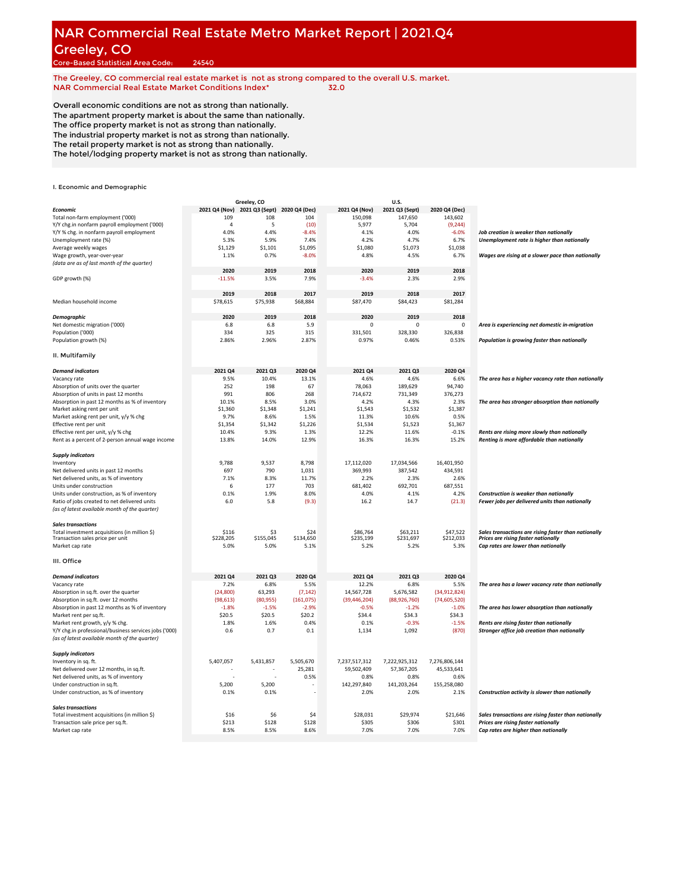# **NAR Commercial Real Estate Metro Market Report | 2021.Q4** Greeley, CO

Core-Based Statistical Area Code: 24540

**The Greeley, CO commercial real estate market is not as strong compared to the overall U.S. market. NAR Commercial Real Estate Market Conditions Index\* 32.0**

Overall economic conditions are not as strong than nationally. The apartment property market is about the same than nationally. The office property market is not as strong than nationally. The industrial property market is not as strong than nationally. The retail property market is not as strong than nationally. The hotel/lodging property market is not as strong than nationally.

|                                                       |               | Greeley, CO                  |                |                | U.S.           |                |                                                      |
|-------------------------------------------------------|---------------|------------------------------|----------------|----------------|----------------|----------------|------------------------------------------------------|
| Economic                                              | 2021 Q4 (Nov) | 2021 Q3 (Sept) 2020 Q4 (Dec) |                | 2021 Q4 (Nov)  | 2021 Q3 (Sept) | 2020 Q4 (Dec)  |                                                      |
| Total non-farm employment ('000)                      | 109           | 108                          | 104            | 150,098        | 147,650        | 143,602        |                                                      |
| Y/Y chg.in nonfarm payroll employment ('000)          | $\Delta$      | 5                            | (10)           | 5,977          | 5,704          | (9, 244)       |                                                      |
| Y/Y % chg. in nonfarm payroll employment              | 4.0%          | 4.4%                         | $-8.4%$        | 4.1%           | 4.0%           | $-6.0%$        | Job creation is weaker than nationally               |
| Unemployment rate (%)                                 | 5.3%          | 5.9%                         | 7.4%           | 4.2%           | 4.7%           | 6.7%           | Unemployment rate is higher than nationally          |
|                                                       |               |                              |                |                |                |                |                                                      |
| Average weekly wages                                  | \$1,129       | \$1,101                      | \$1,095        | \$1,080        | \$1,073        | \$1,038        |                                                      |
| Wage growth, year-over-year                           | 1.1%          | 0.7%                         | $-8.0%$        | 4.8%           | 4.5%           | 6.7%           | Wages are rising at a slower pace than nationally    |
| (data are as of last month of the quarter)            |               |                              |                |                |                |                |                                                      |
|                                                       | 2020          | 2019                         | 2018           | 2020           | 2019           | 2018           |                                                      |
| GDP growth (%)                                        | $-11.5%$      | 3.5%                         | 7.9%           | $-3.4%$        | 2.3%           | 2.9%           |                                                      |
|                                                       |               |                              |                |                |                |                |                                                      |
|                                                       | 2019          | 2018                         | 2017           | 2019           | 2018           | 2017           |                                                      |
| Median household income                               | \$78,615      | \$75,938                     | \$68,884       | \$87,470       | \$84,423       | \$81,284       |                                                      |
|                                                       |               |                              |                |                |                |                |                                                      |
|                                                       | 2020          | 2019                         | 2018           | 2020           | 2019           | 2018           |                                                      |
| Demographic                                           |               |                              |                |                |                |                |                                                      |
| Net domestic migration ('000)                         | 6.8           | 6.8                          | 5.9            | $\Omega$       | $\Omega$       | 0              | Area is experiencing net domestic in-migration       |
| Population ('000)                                     | 334           | 325                          | 315            | 331,501        | 328,330        | 326,838        |                                                      |
| Population growth (%)                                 | 2.86%         | 2.96%                        | 2.87%          | 0.97%          | 0.46%          | 0.53%          | Population is growing faster than nationally         |
| II. Multifamily                                       |               |                              |                |                |                |                |                                                      |
| <b>Demand indicators</b>                              |               |                              |                | 2021 Q4        | 2021 Q3        | 2020 Q4        |                                                      |
|                                                       | 2021 Q4       | 2021 Q3                      | 2020 Q4        |                |                |                |                                                      |
| Vacancy rate                                          | 9.5%          | 10.4%                        | 13.1%          | 4.6%           | 4.6%           | 6.6%           | The area has a higher vacancy rate than nationally   |
| Absorption of units over the quarter                  | 252           | 198                          | 67             | 78,063         | 189,629        | 94,740         |                                                      |
| Absorption of units in past 12 months                 | 991           | 806                          | 268            | 714,672        | 731,349        | 376,273        |                                                      |
| Absorption in past 12 months as % of inventory        | 10.1%         | 8.5%                         | 3.0%           | 4.2%           | 4.3%           | 2.3%           | The area has stronger absorption than nationally     |
| Market asking rent per unit                           | \$1,360       | \$1,348                      | \$1,241        | \$1,543        | \$1,532        | \$1,387        |                                                      |
| Market asking rent per unit, y/y % chg                | 9.7%          | 8.6%                         | 1.5%           | 11.3%          | 10.6%          | 0.5%           |                                                      |
| Effective rent per unit                               | \$1,354       | \$1,342                      | \$1,226        | \$1,534        | \$1,523        | \$1,367        |                                                      |
|                                                       | 10.4%         | 9.3%                         |                |                | 11.6%          | $-0.1%$        | Rents are rising more slowly than nationally         |
| Effective rent per unit, y/y % chg                    |               |                              | 1.3%           | 12.2%          |                |                |                                                      |
| Rent as a percent of 2-person annual wage income      | 13.8%         | 14.0%                        | 12.9%          | 16.3%          | 16.3%          | 15.2%          | Renting is more affordable than nationally           |
| <b>Supply indicators</b>                              |               |                              |                |                |                |                |                                                      |
| Inventory                                             | 9,788         | 9,537                        | 8,798          | 17,112,020     | 17,034,566     | 16,401,950     |                                                      |
| Net delivered units in past 12 months                 | 697           | 790                          | 1,031          | 369,993        | 387,542        | 434,591        |                                                      |
| Net delivered units, as % of inventory                | 7.1%          | 8.3%                         | 11.7%          | 2.2%           | 2.3%           | 2.6%           |                                                      |
|                                                       |               |                              |                |                |                |                |                                                      |
| Units under construction                              | 6             | 177                          | 703            | 681,402        | 692,701        | 687,551        |                                                      |
| Units under construction, as % of inventory           | 0.1%          | 1.9%                         | 8.0%           | 4.0%           | 4.1%           | 4.2%           | Construction is weaker than nationally               |
| Ratio of jobs created to net delivered units          | 6.0           | 5.8                          | (9.3)          | 16.2           | 14.7           | (21.3)         | Fewer jobs per delivered units than nationally       |
| (as of latest available month of the quarter)         |               |                              |                |                |                |                |                                                      |
| <b>Sales transactions</b>                             |               |                              |                |                |                |                |                                                      |
| Total investment acquisitions (in million \$)         | \$116         | S3                           | \$24           | \$86,764       | \$63,211       | \$47,522       | Sales transactions are rising faster than nationally |
| Transaction sales price per unit                      | \$228,205     | \$155,045                    | \$134,650      | \$235,199      | \$231,697      | \$212,033      | Prices are rising faster nationally                  |
| Market cap rate                                       | 5.0%          | 5.0%                         | 5.1%           | 5.2%           | 5.2%           | 5.3%           | Cap rates are lower than nationally                  |
|                                                       |               |                              |                |                |                |                |                                                      |
| III. Office                                           |               |                              |                |                |                |                |                                                      |
| <b>Demand indicators</b>                              | 2021 Q4       | 2021 Q3                      | 2020 Q4        | 2021 Q4        | 2021 Q3        | 2020 Q4        |                                                      |
| Vacancy rate                                          | 7.2%          | 6.8%                         | 5.5%           | 12.2%          | 6.8%           | 5.5%           | The area has a lower vacancy rate than nationally    |
| Absorption in sq.ft. over the quarter                 | (24, 800)     | 63,293                       | (7, 142)       | 14,567,728     | 5,676,582      | (34,912,824)   |                                                      |
| Absorption in sq.ft. over 12 months                   | (98, 613)     | (80, 955)                    | (161, 075)     | (39, 446, 204) | (88,926,760)   | (74, 605, 520) |                                                      |
| Absorption in past 12 months as % of inventory        | $-1.8%$       | $-1.5%$                      | $-2.9%$        | $-0.5%$        | $-1.2%$        | $-1.0%$        | The area has lower absorption than nationally        |
|                                                       |               |                              |                |                |                |                |                                                      |
| Market rent per sq.ft.                                | \$20.5        | \$20.5                       | \$20.2         | \$34.4         | \$34.3         | \$34.3         |                                                      |
| Market rent growth, y/y % chg.                        | 1.8%          | 1.6%                         | 0.4%           | 0.1%           | $-0.3%$        | $-1.5%$        | Rents are rising faster than nationally              |
| Y/Y chg.in professional/business services jobs ('000) | 0.6           | 0.7                          | 0.1            | 1,134          | 1,092          | (870)          | Stronger office job creation than nationally         |
| (as of latest available month of the quarter)         |               |                              |                |                |                |                |                                                      |
| <b>Supply indicators</b>                              |               |                              |                |                |                |                |                                                      |
| Inventory in sq. ft.                                  | 5,407,057     | 5,431,857                    | 5,505,670      | 7,237,517,312  | 7,222,925,312  | 7,276,806,144  |                                                      |
| Net delivered over 12 months, in sq.ft.               |               |                              | 25,281         | 59,502,409     | 57,367,205     | 45,533,641     |                                                      |
| Net delivered units, as % of inventory                |               |                              | 0.5%           | 0.8%           | 0.8%           | 0.6%           |                                                      |
| Under construction in sq.ft.                          | 5,200         | 5,200                        |                | 142,297,840    | 141,203,264    | 155,258,080    |                                                      |
|                                                       |               |                              |                |                |                |                |                                                      |
| Under construction, as % of inventory                 | 0.1%          | 0.1%                         |                | 2.0%           | 2.0%           | 2.1%           | Construction activity is slower than nationally      |
| <b>Sales transactions</b>                             |               |                              |                |                |                |                |                                                      |
| Total investment acquisitions (in million \$)         | \$16          | \$6                          | S <sub>4</sub> | \$28,031       | \$29,974       | \$21,646       | Sales transactions are rising faster than nationally |
| Transaction sale price per sq.ft.                     | \$213         | \$128                        | \$128          | \$305          | \$306          | \$301          | Prices are rising faster nationally                  |
| Market cap rate                                       | 8.5%          | 8.5%                         | 8.6%           | 7.0%           | 7.0%           | 7.0%           | Cap rates are higher than nationally                 |
|                                                       |               |                              |                |                |                |                |                                                      |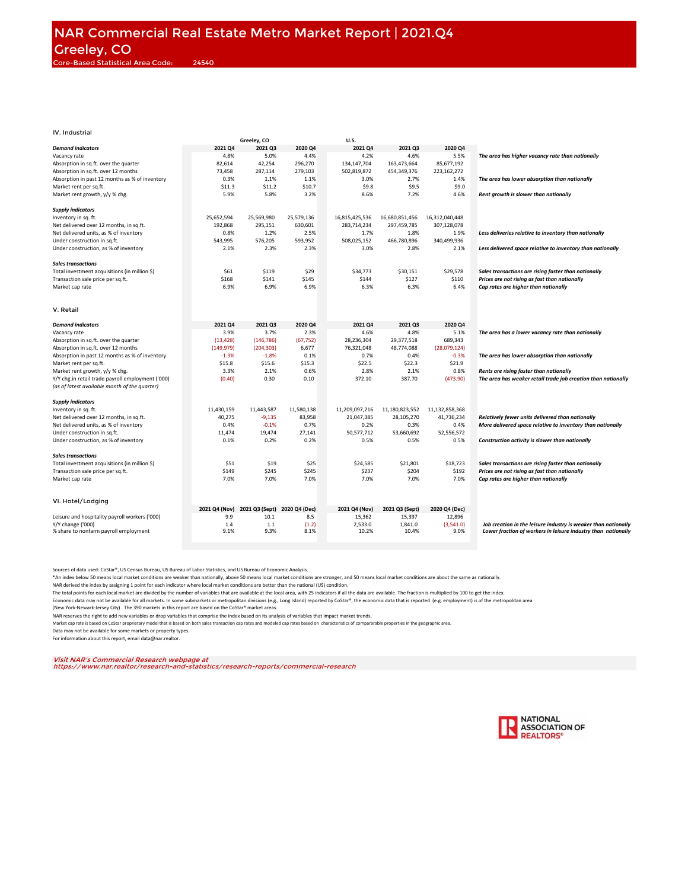|                                                   |               | Greeley, CO    |                | <b>U.S.</b>    |                |                |                                                                |
|---------------------------------------------------|---------------|----------------|----------------|----------------|----------------|----------------|----------------------------------------------------------------|
| <b>Demand indicators</b>                          | 2021 Q4       | 2021 Q3        | 2020 Q4        | 2021 Q4        | 2021 Q3        | 2020 Q4        |                                                                |
| Vacancy rate                                      | 4.8%          | 5.0%           | 4.4%           | 4.2%           | 4.6%           | 5.5%           | The area has higher vacancy rate than nationally               |
| Absorption in sq.ft. over the quarter             | 82,614        | 42,254         | 296,270        | 134,147,704    | 163,473,664    | 85,677,192     |                                                                |
| Absorption in sq.ft. over 12 months               | 73,458        | 287,114        | 279,103        | 502,819,872    | 454,349,376    | 223,162,272    |                                                                |
| Absorption in past 12 months as % of inventory    | 0.3%          | 1.1%           | 1.1%           | 3.0%           | 2.7%           | 1.4%           | The area has lower absorption than nationally                  |
| Market rent per sq.ft.                            | \$11.3        | \$11.2         | \$10.7         | \$9.8          | \$9.5          | \$9.0          |                                                                |
| Market rent growth, y/y % chg.                    | 5.9%          | 5.8%           | 3.2%           | 8.6%           | 7.2%           | 4.6%           | Rent growth is slower than nationally                          |
|                                                   |               |                |                |                |                |                |                                                                |
| <b>Supply indicators</b>                          |               |                |                |                |                |                |                                                                |
| Inventory in sq. ft.                              | 25,652,594    | 25,569,980     | 25,579,136     | 16,815,425,536 | 16,680,851,456 | 16,312,040,448 |                                                                |
| Net delivered over 12 months, in sq.ft.           | 192,868       | 295,151        | 630,601        | 283,714,234    | 297,459,785    | 307,128,078    |                                                                |
| Net delivered units, as % of inventory            | 0.8%          | 1.2%           | 2.5%           | 1.7%           | 1.8%           | 1.9%           | Less deliveries relative to inventory than nationally          |
| Under construction in sq.ft.                      | 543,995       | 576,205        | 593,952        | 508,025,152    | 466,780,896    | 340,499,936    |                                                                |
| Under construction, as % of inventory             | 2.1%          | 2.3%           | 2.3%           | 3.0%           | 2.8%           | 2.1%           | Less delivered space relative to inventory than nationally     |
|                                                   |               |                |                |                |                |                |                                                                |
| <b>Sales transactions</b>                         |               |                |                |                |                |                |                                                                |
| Total investment acquisitions (in million \$)     | \$61          | \$119          | \$29           | \$34,773       | \$30,151       | \$29,578       | Sales transactions are rising faster than nationally           |
| Transaction sale price per sq.ft.                 | \$168         | \$141          | \$145          | \$144          | \$127          | \$110          | Prices are not rising as fast than nationally                  |
| Market cap rate                                   | 6.9%          | 6.9%           | 6.9%           | 6.3%           | 6.3%           | 6.4%           | Cap rates are higher than nationally                           |
|                                                   |               |                |                |                |                |                |                                                                |
|                                                   |               |                |                |                |                |                |                                                                |
| V. Retail                                         |               |                |                |                |                |                |                                                                |
|                                                   |               |                |                |                |                |                |                                                                |
| <b>Demand indicators</b>                          | 2021 04       | 2021 Q3        | <b>2020 Q4</b> | 2021 04        | 2021 03        | 2020 Q4        |                                                                |
| Vacancy rate                                      | 3.9%          | 3.7%           | 2.3%           | 4.6%           | 4.8%           | 5.1%           | The area has a lower vacancy rate than nationally              |
| Absorption in sq.ft. over the quarter             | (13, 428)     | (146, 786)     | (67, 752)      | 28,236,304     | 29,377,518     | 689,343        |                                                                |
| Absorption in sq.ft. over 12 months               | (149, 979)    | (204, 303)     | 6,677          | 76,321,048     | 48,774,088     | (28,079,124)   |                                                                |
| Absorption in past 12 months as % of inventory    | $-1.3%$       | $-1.8%$        | 0.1%           | 0.7%           | 0.4%           | $-0.3%$        | The area has lower absorption than nationally                  |
| Market rent per sq.ft.                            | \$15.8        | \$15.6         | \$15.3         | \$22.5         | \$22.3         | \$21.9         |                                                                |
| Market rent growth, y/y % chg.                    | 3.3%          | 2.1%           | 0.6%           | 2.8%           | 2.1%           | 0.8%           | Rents are rising faster than nationally                        |
| Y/Y chg.in retail trade payroll employment ('000) | (0.40)        | 0.30           | 0.10           | 372.10         | 387.70         | (473.90)       | The area has weaker retail trade job creation than nationally  |
| (as of latest available month of the quarter)     |               |                |                |                |                |                |                                                                |
|                                                   |               |                |                |                |                |                |                                                                |
| <b>Supply indicators</b>                          |               |                |                |                |                |                |                                                                |
| Inventory in sq. ft.                              | 11,430,159    | 11,443,587     | 11,580,138     | 11,209,097,216 | 11,180,823,552 | 11,132,858,368 |                                                                |
| Net delivered over 12 months, in sq.ft.           | 40,275        | $-9,135$       | 83,958         | 21,047,385     | 28,105,270     | 41,736,234     | Relatively fewer units delivered than nationally               |
| Net delivered units, as % of inventory            | 0.4%          | $-0.1%$        | 0.7%           | 0.2%           | 0.3%           | 0.4%           | More delivered space relative to inventory than nationally     |
| Under construction in sq.ft.                      | 11,474        | 19,474         | 27,141         | 50,577,712     | 53,660,692     | 52,556,572     |                                                                |
| Under construction, as % of inventory             | 0.1%          | 0.2%           | 0.2%           | 0.5%           | 0.5%           | 0.5%           | Construction activity is slower than nationally                |
|                                                   |               |                |                |                |                |                |                                                                |
| <b>Sales transactions</b>                         |               |                |                |                |                |                |                                                                |
| Total investment acquisitions (in million \$)     | \$51          | \$19           | \$25           | \$24,585       | \$21,801       | \$18,723       | Sales transactions are rising faster than nationally           |
| Transaction sale price per sq.ft.                 | \$149         | \$245          | \$245          | \$237          | \$204          | \$192          | Prices are not rising as fast than nationally                  |
| Market cap rate                                   | 7.0%          | 7.0%           | 7.0%           | 7.0%           | 7.0%           | 7.0%           | Cap rates are higher than nationally                           |
|                                                   |               |                |                |                |                |                |                                                                |
|                                                   |               |                |                |                |                |                |                                                                |
| VI. Hotel/Lodging                                 |               |                |                |                |                |                |                                                                |
|                                                   | 2021 Q4 (Nov) | 2021 Q3 (Sept) | 2020 Q4 (Dec)  | 2021 Q4 (Nov)  | 2021 Q3 (Sept) | 2020 Q4 (Dec)  |                                                                |
| Leisure and hospitality payroll workers ('000)    | 9.9           | 10.1           | 8.5            | 15,362         | 15,397         | 12,896         |                                                                |
| Y/Y change ('000)                                 | 1.4           | 1.1            | (1.2)          | 2,533.0        | 1,841.0        | (3,541.0)      | Job creation in the leisure industry is weaker than nationally |
| % share to nonfarm payroll employment             | 9.1%          | 9.3%           | 8.1%           | 10.2%          | 10.4%          | 9.0%           | Lower fraction of workers in leisure industry than nationally  |
|                                                   |               |                |                |                |                |                |                                                                |

Sources of data used: CoStar®, US Census Bureau, US Bureau of Labor Statistics, and US Bureau of Economic Analysis.

\*An index below 50 means local market conditions are weaker than nationally, above 50 means local market and stomger, and 50 means local market conditions are about the same as nationally.<br>NAR derived the index by assignin

The total points for each local market are divided by the number of variables that are available at the local area, with 25 indicators if all the data are available. The fraction is multiplied by 100 to get the index.

Economic data may not be available for all markets. In some submarkets or metropolitan divisions (e.g., Long Island) reported by CoStar®, the economic data that is reported (e.g. employment) is of the metropolitan area

(New York-Newark-Jersey City) . The 390 markets in this report are based on the CoStar® market areas.

NAR reserves the right to add new variables or drop variables that comprise the index based on its analysis of variables that impact market trends.

Market cap rate is based on CoStar proprietary model that is based on both sales transaction cap rates and modeled cap rates based on characteristics of compararable properties in the geographic area.

Data may not be available for some markets or property types.

For information about this report, email data@nar.realtor.

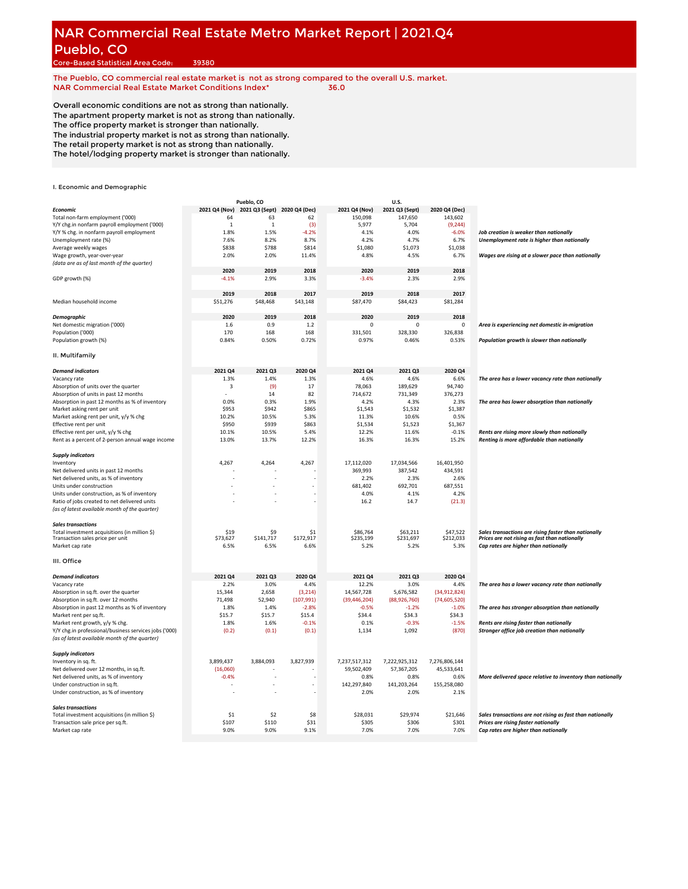#### **NAR Commercial Real Estate Metro Market Report | 2021.Q4** Pueblo, CO

Core-Based Statistical Area Code: 39380

**The Pueblo, CO commercial real estate market is not as strong compared to the overall U.S. market. NAR Commercial Real Estate Market Conditions Index\* 36.0**

Overall economic conditions are not as strong than nationally. The apartment property market is not as strong than nationally. The office property market is stronger than nationally. The industrial property market is not as strong than nationally. The retail property market is not as strong than nationally. The hotel/lodging property market is stronger than nationally.

|                                                       |                | Pueblo, CO                   |           |                | U.S.           |                |                                                            |
|-------------------------------------------------------|----------------|------------------------------|-----------|----------------|----------------|----------------|------------------------------------------------------------|
| Economic                                              | 2021 Q4 (Nov)  | 2021 Q3 (Sept) 2020 Q4 (Dec) |           | 2021 Q4 (Nov)  | 2021 Q3 (Sept) | 2020 Q4 (Dec)  |                                                            |
| Total non-farm employment ('000)                      | 64             | 63                           | 62        | 150,098        | 147,650        | 143,602        |                                                            |
| Y/Y chg.in nonfarm payroll employment ('000)          | $\overline{1}$ | $\overline{1}$               | (3)       | 5,977          | 5,704          | (9, 244)       |                                                            |
| Y/Y % chg. in nonfarm payroll employment              | 1.8%           | 1.5%                         | $-4.2%$   | 4.1%           | 4.0%           | $-6.0%$        | Job creation is weaker than nationally                     |
|                                                       |                |                              |           |                |                |                |                                                            |
| Unemployment rate (%)                                 | 7.6%           | 8.2%                         | 8.7%      | 4.2%           | 4.7%           | 6.7%           | Unemployment rate is higher than nationally                |
| Average weekly wages                                  | \$838          | \$788                        | \$814     | \$1,080        | \$1,073        | \$1,038        |                                                            |
| Wage growth, year-over-year                           | 2.0%           | 2.0%                         | 11.4%     | 4.8%           | 4.5%           | 6.7%           | Wages are rising at a slower pace than nationally          |
| (data are as of last month of the quarter)            |                |                              |           |                |                |                |                                                            |
|                                                       | 2020           | 2019                         | 2018      | 2020           | 2019           | 2018           |                                                            |
| GDP growth (%)                                        | $-4.1%$        | 2.9%                         | 3.3%      | $-3.4%$        | 2.3%           | 2.9%           |                                                            |
|                                                       |                |                              |           |                |                |                |                                                            |
|                                                       | 2019           | 2018                         | 2017      | 2019           | 2018           | 2017           |                                                            |
| Median household income                               | \$51,276       | \$48,468                     | \$43,148  | \$87,470       | \$84,423       | \$81,284       |                                                            |
|                                                       |                |                              |           |                |                |                |                                                            |
| <b>Demographic</b>                                    | 2020           | 2019                         | 2018      | 2020           | 2019           | 2018           |                                                            |
|                                                       |                |                              |           |                |                |                |                                                            |
| Net domestic migration ('000)                         | 1.6            | 0.9                          | 1.2       | $\Omega$       | $\Omega$       | $\Omega$       | Area is experiencing net domestic in-migration             |
| Population ('000)                                     | 170            | 168                          | 168       | 331,501        | 328,330        | 326,838        |                                                            |
| Population growth (%)                                 | 0.84%          | 0.50%                        | 0.72%     | 0.97%          | 0.46%          | 0.53%          | Population growth is slower than nationally                |
| II. Multifamily                                       |                |                              |           |                |                |                |                                                            |
| Demand indicators                                     | 2021 04        | 2021 03                      | 2020 Q4   | 2021 04        | 2021 03        | 2020 Q4        |                                                            |
| Vacancy rate                                          | 1.3%           | 1.4%                         | 1.3%      | 4.6%           | 4.6%           | 6.6%           | The area has a lower vacancy rate than nationally          |
| Absorption of units over the quarter                  | 3              | (9)                          | 17        | 78,063         | 189,629        | 94,740         |                                                            |
|                                                       |                | 14                           | 82        |                |                |                |                                                            |
| Absorption of units in past 12 months                 |                |                              |           | 714,672        | 731,349        | 376,273        |                                                            |
| Absorption in past 12 months as % of inventory        | 0.0%           | 0.3%                         | 1.9%      | 4.2%           | 4.3%           | 2.3%           | The area has lower absorption than nationally              |
| Market asking rent per unit                           | \$953          | \$942                        | \$865     | \$1,543        | \$1,532        | \$1,387        |                                                            |
| Market asking rent per unit, y/y % chg                | 10.2%          | 10.5%                        | 5.3%      | 11.3%          | 10.6%          | 0.5%           |                                                            |
| Effective rent per unit                               | \$950          | \$939                        | \$863     | \$1,534        | \$1,523        | \$1,367        |                                                            |
| Effective rent per unit, y/y % chg                    | 10.1%          | 10.5%                        | 5.4%      | 12.2%          | 11.6%          | $-0.1%$        | Rents are rising more slowly than nationally               |
| Rent as a percent of 2-person annual wage income      | 13.0%          | 13.7%                        | 12.2%     | 16.3%          | 16.3%          | 15.2%          | Renting is more affordable than nationally                 |
| <b>Supply indicators</b>                              |                |                              |           |                |                |                |                                                            |
| Inventory                                             | 4,267          | 4,264                        | 4,267     | 17,112,020     | 17,034,566     | 16,401,950     |                                                            |
| Net delivered units in past 12 months                 |                |                              |           | 369,993        | 387,542        | 434,591        |                                                            |
| Net delivered units, as % of inventory                |                |                              |           | 2.2%           | 2.3%           | 2.6%           |                                                            |
| Units under construction                              |                |                              |           | 681,402        | 692,701        | 687,551        |                                                            |
| Units under construction, as % of inventory           |                |                              |           | 4.0%           | 4.1%           | 4.2%           |                                                            |
|                                                       |                |                              |           | 16.2           |                |                |                                                            |
| Ratio of jobs created to net delivered units          |                |                              |           |                | 14.7           | (21.3)         |                                                            |
| (as of latest available month of the quarter)         |                |                              |           |                |                |                |                                                            |
| <b>Sales transactions</b>                             |                |                              |           |                |                |                |                                                            |
| Total investment acquisitions (in million \$)         | \$19           | \$9                          | \$1       | \$86,764       | \$63,211       | \$47,522       | Sales transactions are rising faster than nationally       |
| Transaction sales price per unit                      | \$73,627       | \$141,717                    | \$172,917 | \$235,199      | \$231,697      | \$212,033      | Prices are not rising as fast than nationally              |
| Market cap rate                                       | 6.5%           | 6.5%                         | 6.6%      | 5.2%           | 5.2%           | 5.3%           | Cap rates are higher than nationally                       |
|                                                       |                |                              |           |                |                |                |                                                            |
| III. Office                                           |                |                              |           |                |                |                |                                                            |
| <b>Demand indicators</b>                              | 2021 Q4        | 2021 Q3                      | 2020 Q4   | 2021 Q4        | 2021 Q3        | 2020 Q4        |                                                            |
| Vacancy rate                                          | 2.2%           | 3.0%                         | 4.4%      | 12.2%          | 3.0%           | 4.4%           | The area has a lower vacancy rate than nationally          |
| Absorption in sq.ft. over the quarter                 | 15,344         | 2,658                        | (3,214)   | 14,567,728     | 5,676,582      | (34,912,824)   |                                                            |
| Absorption in sq.ft. over 12 months                   | 71,498         | 52,940                       | (107,991) | (39, 446, 204) | (88,926,760)   | (74, 605, 520) |                                                            |
| Absorption in past 12 months as % of inventory        | 1.8%           | 1.4%                         | $-2.8%$   | $-0.5%$        | $-1.2%$        | $-1.0%$        | The area has stronger absorption than nationally           |
| Market rent per sq.ft.                                | \$15.7         | \$15.7                       | \$15.4    | \$34.4         | \$34.3         | \$34.3         |                                                            |
| Market rent growth, y/y % chg.                        | 1.8%           | 1.6%                         | $-0.1%$   | 0.1%           | $-0.3%$        | $-1.5%$        | Rents are rising faster than nationally                    |
| Y/Y chg.in professional/business services jobs ('000) | (0.2)          | (0.1)                        | (0.1)     | 1,134          | 1,092          | (870)          | Stronger office job creation than nationally               |
| (as of latest available month of the quarter)         |                |                              |           |                |                |                |                                                            |
| <b>Supply indicators</b>                              |                |                              |           |                |                |                |                                                            |
| Inventory in sq. ft.                                  | 3,899,437      | 3,884,093                    | 3,827,939 | 7,237,517,312  | 7,222,925,312  | 7,276,806,144  |                                                            |
| Net delivered over 12 months, in sq.ft.               | (16,060)       |                              |           | 59,502,409     | 57,367,205     | 45,533,641     |                                                            |
|                                                       |                |                              |           |                |                |                |                                                            |
| Net delivered units, as % of inventory                | $-0.4%$        |                              |           | 0.8%           | 0.8%           | 0.6%           | More delivered space relative to inventory than nationally |
| Under construction in sq.ft.                          |                |                              |           | 142,297,840    | 141,203,264    | 155,258,080    |                                                            |
| Under construction, as % of inventory                 |                |                              |           | 2.0%           | 2.0%           | 2.1%           |                                                            |
| <b>Sales transactions</b>                             |                |                              |           |                |                |                |                                                            |
| Total investment acquisitions (in million \$)         | \$1            | \$2                          | \$8       | \$28,031       | \$29,974       | \$21,646       | Sales transactions are not rising as fast than nationally  |
| Transaction sale price per sq.ft.                     | \$107          | \$110                        | \$31      | \$305          | \$306          | \$301          | Prices are rising faster nationally                        |
| Market cap rate                                       | 9.0%           | 9.0%                         | 9.1%      | 7.0%           | 7.0%           | 7.0%           | Cap rates are higher than nationally                       |